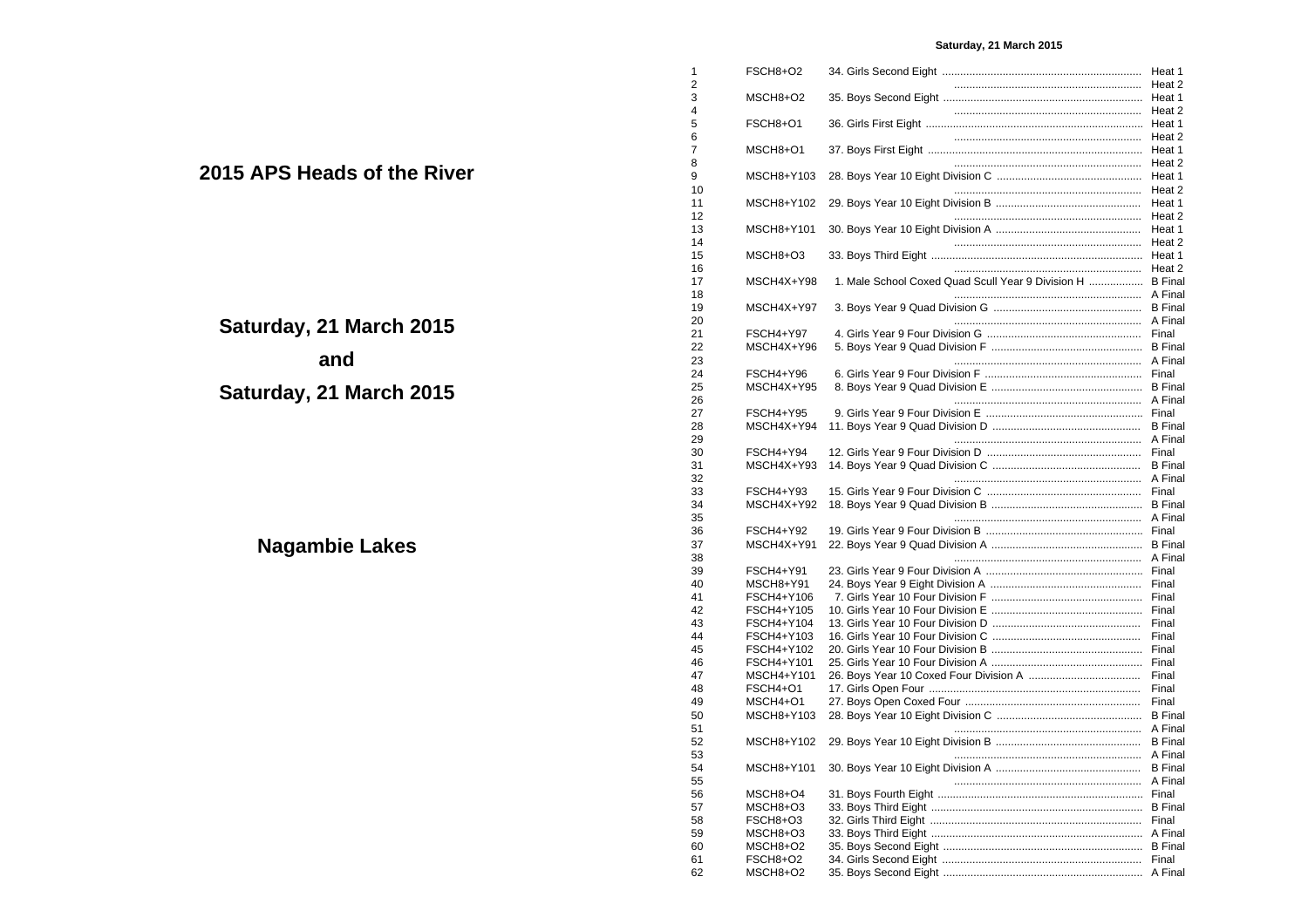# **Saturday, 21 March 2015**

|                               | 1              | FSCH8+O2                 |                                                            |                |
|-------------------------------|----------------|--------------------------|------------------------------------------------------------|----------------|
|                               | $\overline{2}$ |                          |                                                            |                |
|                               | 3              | MSCH8+O2                 |                                                            |                |
|                               | 4              |                          |                                                            |                |
|                               | 5<br>6         | FSCH8+O1                 |                                                            |                |
|                               | 7              | MSCH8+O1                 |                                                            |                |
|                               | 8              |                          |                                                            |                |
| <b>APS Heads of the River</b> | 9              | MSCH8+Y103               |                                                            |                |
|                               | 10             |                          |                                                            |                |
|                               | 11             | MSCH8+Y102               |                                                            |                |
|                               | 12             |                          |                                                            |                |
|                               | 13             | MSCH8+Y101               |                                                            |                |
|                               | 14             |                          |                                                            |                |
|                               | 15             | MSCH8+O3                 |                                                            |                |
|                               | 16             |                          |                                                            |                |
|                               | 17             | MSCH4X+Y98               | 1. Male School Coxed Quad Scull Year 9 Division H  B Final |                |
|                               | 18             |                          |                                                            |                |
|                               | 19<br>20       | MSCH4X+Y97               |                                                            |                |
| ırday, 21 March 2015          | 21             | FSCH4+Y97                |                                                            |                |
|                               | 22             | MSCH4X+Y96               |                                                            |                |
| and                           | 23             |                          |                                                            |                |
|                               | 24             | FSCH4+Y96                |                                                            |                |
|                               | 25             | MSCH4X+Y95               |                                                            |                |
| ırday, 21 March 2015          | 26             |                          |                                                            |                |
|                               | 27             | FSCH4+Y95                |                                                            |                |
|                               | 28             | MSCH4X+Y94               |                                                            |                |
|                               | 29             |                          |                                                            |                |
|                               | 30             | FSCH4+Y94                |                                                            |                |
|                               | 31             | MSCH4X+Y93               |                                                            |                |
|                               | 32             |                          |                                                            |                |
|                               | 33<br>34       | FSCH4+Y93<br>MSCH4X+Y92  |                                                            |                |
|                               | 35             |                          |                                                            |                |
|                               | 36             | FSCH4+Y92                |                                                            |                |
| Nagambie Lakes                | 37             | MSCH4X+Y91               |                                                            |                |
|                               | 38             |                          |                                                            |                |
|                               | 39             | FSCH4+Y91                |                                                            |                |
|                               | 40             | MSCH8+Y91                |                                                            |                |
|                               | 41             | FSCH4+Y106               |                                                            |                |
|                               | 42             | FSCH4+Y105               |                                                            |                |
|                               | 43             | FSCH4+Y104               |                                                            |                |
|                               | 44             | FSCH4+Y103               |                                                            |                |
|                               | 45             | FSCH4+Y102               |                                                            |                |
|                               | 46<br>47       | FSCH4+Y101<br>MSCH4+Y101 |                                                            |                |
|                               | 48             | FSCH4+O1                 |                                                            |                |
|                               | 49             | MSCH4+O1                 |                                                            |                |
|                               | 50             | MSCH8+Y103               |                                                            |                |
|                               | 51             |                          |                                                            |                |
|                               | 52             |                          |                                                            |                |
|                               | 53             |                          |                                                            |                |
|                               | 54             | MSCH8+Y101               |                                                            | <b>B</b> Final |
|                               | 55             |                          |                                                            |                |
|                               | 56             | MSCH8+O4                 |                                                            |                |
|                               | 57             | MSCH8+O3                 |                                                            |                |
|                               | 58             | FSCH8+O3                 |                                                            |                |
|                               | 59             | MSCH8+O3                 |                                                            |                |
|                               | 60<br>61       | MSCH8+O2<br>FSCH8+O2     |                                                            |                |
|                               | 62             | MSCH8+O2                 |                                                            |                |
|                               |                |                          |                                                            |                |

**2015 AP** 

**Satur** 

**Satur**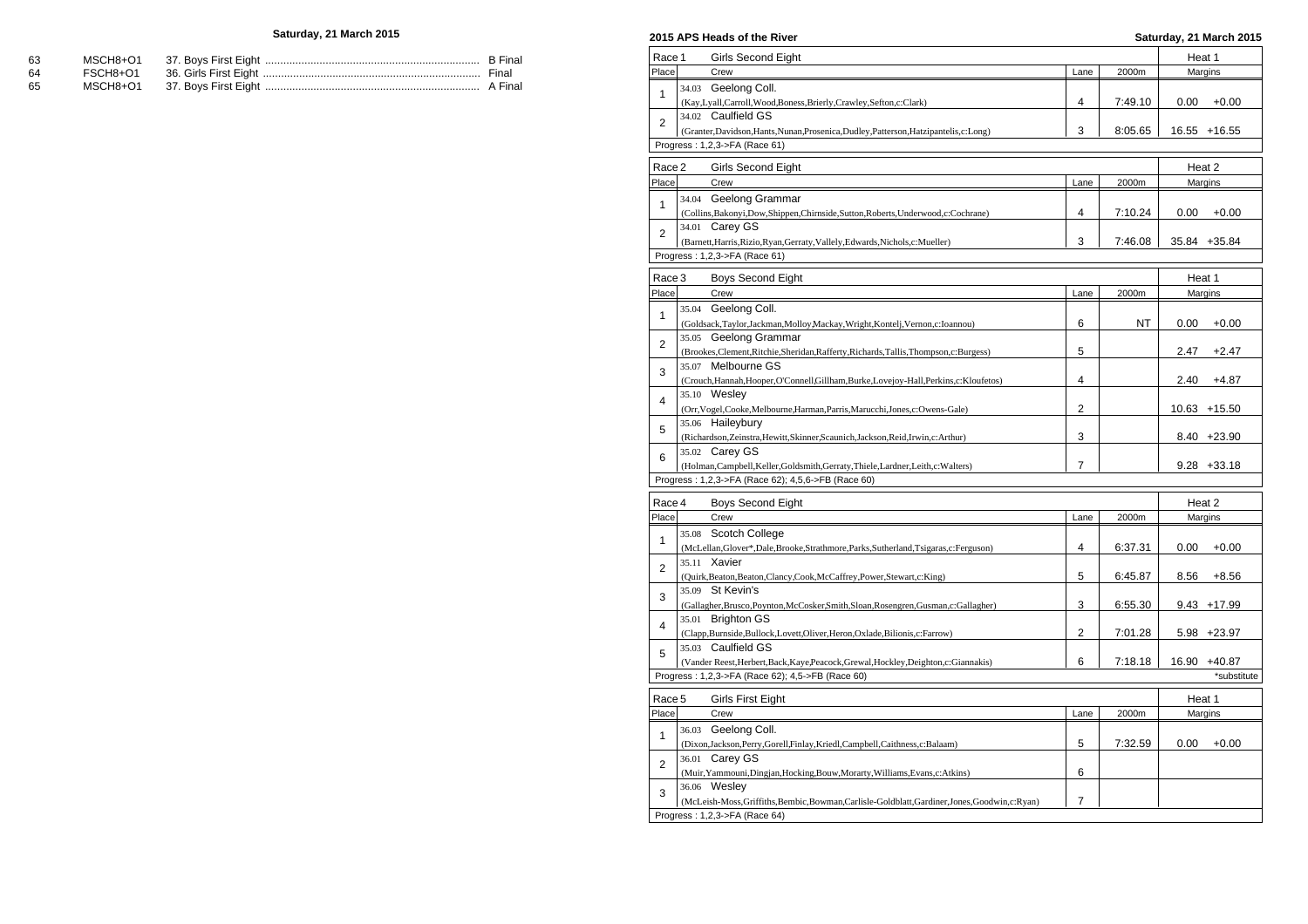## **Saturday, 21 March 2015**

| - 63 |  |  |
|------|--|--|
| - 64 |  |  |
| - 65 |  |  |

| Race 1 |       | Girls Second Eight                                                                                            |                |         | Heat 1 |                 |
|--------|-------|---------------------------------------------------------------------------------------------------------------|----------------|---------|--------|-----------------|
| Place  |       | Crew                                                                                                          | Lane           | 2000m   |        | Margins         |
|        | 34.03 | Geelong Coll.                                                                                                 |                |         |        |                 |
| 1      |       | (Kay,Lyall,Carroll,Wood,Boness,Brierly,Crawley,Sefton,c:Clark)                                                | 4              | 7:49.10 | 0.00   | $+0.00$         |
|        |       | 34.02 Caulfield GS                                                                                            |                |         |        |                 |
| 2      |       | (Granter, Davidson, Hants, Nunan, Prosenica, Dudley, Patterson, Hatzipantelis, c: Long)                       | 3              | 8:05.65 |        | 16.55 +16.55    |
|        |       | Progress: 1,2,3->FA (Race 61)                                                                                 |                |         |        |                 |
|        |       |                                                                                                               |                |         |        |                 |
| Race 2 |       | Girls Second Eight                                                                                            |                |         | Heat 2 |                 |
| Place  |       | Crew                                                                                                          | Lane           | 2000m   |        | Margins         |
| 1      |       | 34.04 Geelong Grammar                                                                                         |                |         |        |                 |
|        |       | (Collins, Bakonyi, Dow, Shippen, Chirnside, Sutton, Roberts, Underwood, c: Cochrane)                          | 4              | 7:10.24 | 0.00   | $+0.00$         |
| 2      |       | 34.01 Carey GS                                                                                                |                |         |        |                 |
|        |       | (Barnett, Harris, Rizio, Ryan, Gerraty, Vallely, Edwards, Nichols, c: Mueller)                                | 3              | 7:46.08 |        | 35.84 +35.84    |
|        |       | Progress: 1,2,3->FA (Race 61)                                                                                 |                |         |        |                 |
| Race 3 |       | <b>Boys Second Eight</b>                                                                                      |                |         | Heat 1 |                 |
| Place  |       | Crew                                                                                                          | Lane           | 2000m   |        | Margins         |
|        |       | 35.04 Geelong Coll.                                                                                           |                |         |        |                 |
| 1      |       | (Goldsack,Taylor,Jackman,Molloy,Mackay,Wright,Kontelj,Vernon,c:Ioannou)                                       | 6              | NT      | 0.00   | $+0.00$         |
|        |       | 35.05 Geelong Grammar                                                                                         |                |         |        |                 |
| 2      |       |                                                                                                               | 5              |         | 2.47   | $+2.47$         |
|        |       | (Brookes, Clement, Ritchie, Sheridan, Rafferty, Richards, Tallis, Thompson, c: Burgess)<br>35.07 Melbourne GS |                |         |        |                 |
| 3      |       |                                                                                                               | 4              |         | 2.40   | $+4.87$         |
|        |       | (Crouch, Hannah, Hooper, O'Connell, Gillham, Burke, Lovejoy-Hall, Perkins, c: Kloufetos)<br>35.10 Wesley      |                |         |        |                 |
| 4      |       |                                                                                                               | 2              |         |        |                 |
|        |       | (Orr, Vogel, Cooke, Melbourne, Harman, Parris, Marucchi, Jones, c: Owens-Gale)                                |                |         |        | $10.63 + 15.50$ |
| 5      |       | 35.06 Haileybury                                                                                              |                |         |        |                 |
|        |       | (Richardson,Zeinstra,Hewitt,Skinner,Scaunich,Jackson,Reid,Irwin,c:Arthur)                                     | 3              |         |        | $8.40 +23.90$   |
| 6      |       | 35.02 Carey GS                                                                                                | $\overline{7}$ |         |        | $9.28 + 33.18$  |
|        |       | (Holman, Campbell, Keller, Goldsmith, Gerraty, Thiele, Lardner, Leith, c: Walters)                            |                |         |        |                 |
|        |       | Progress: 1,2,3->FA (Race 62); 4,5,6->FB (Race 60)                                                            |                |         |        |                 |
| Race 4 |       | <b>Boys Second Eight</b>                                                                                      |                |         | Heat 2 |                 |
| Place  |       | Crew                                                                                                          | Lane           | 2000m   |        | Margins         |
|        | 35.08 | Scotch College                                                                                                |                |         |        |                 |
| 1      |       | (McLellan, Glover*, Dale, Brooke, Strathmore, Parks, Sutherland, Tsigaras, c: Ferguson)                       | 4              | 6:37.31 | 0.00   | $+0.00$         |
|        |       | 35.11 Xavier                                                                                                  |                |         |        |                 |
| 2      |       | (Quirk, Beaton, Beaton, Clancy, Cook, McCaffrey, Power, Stewart, c: King)                                     | 5              | 6:45.87 | 8.56   | $+8.56$         |
|        |       | 35.09 St Kevin's                                                                                              |                |         |        |                 |
| 3      |       | (Gallagher, Brusco, Poynton, McCosker, Smith, Sloan, Rosengren, Gusman, c: Gallagher)                         | 3              | 6:55.30 |        | $9.43 + 17.99$  |
|        |       | 35.01 Brighton GS                                                                                             |                |         |        |                 |
| 4      |       | (Clapp,Burnside,Bullock,Lovett,Oliver,Heron,Oxlade,Bilionis,c:Farrow)                                         | $\overline{2}$ | 7:01.28 |        | $5.98 + 23.97$  |
|        |       | 35.03 Caulfield GS                                                                                            |                |         |        |                 |
| 5      |       | (Vander Reest, Herbert, Back, Kaye, Peacock, Grewal, Hockley, Deighton, c: Giannakis)                         | 6              | 7:18.18 |        | 16.90 +40.87    |
|        |       | Progress: 1,2,3->FA (Race 62); 4,5->FB (Race 60)                                                              |                |         |        | *substitute     |
|        |       |                                                                                                               |                |         |        |                 |
| Race 5 |       | Girls First Eight                                                                                             |                |         | Heat 1 |                 |
| Place  |       | Crew                                                                                                          | Lane           | 2000m   |        | Margins         |
| 1      |       | 36.03 Geelong Coll.                                                                                           |                |         |        |                 |
|        |       | (Dixon,Jackson,Perry,Gorell,Finlay,Kriedl,Campbell,Caithness,c:Balaam)                                        | 5              | 7:32.59 | 0.00   | $+0.00$         |
| 2      |       | 36.01 Carey GS                                                                                                |                |         |        |                 |
|        |       | (Muir, Yammouni, Dingjan, Hocking, Bouw, Morarty, Williams, Evans, c: Atkins)                                 | 6              |         |        |                 |
| 3      |       | 36.06 Wesley                                                                                                  |                |         |        |                 |
|        |       | (McLeish-Moss,Griffiths,Bembic,Bowman,Carlisle-Goldblatt,Gardiner,Jones,Goodwin,c:Ryan)                       | $\overline{7}$ |         |        |                 |
|        |       | Progress: 1,2,3->FA (Race 64)                                                                                 |                |         |        |                 |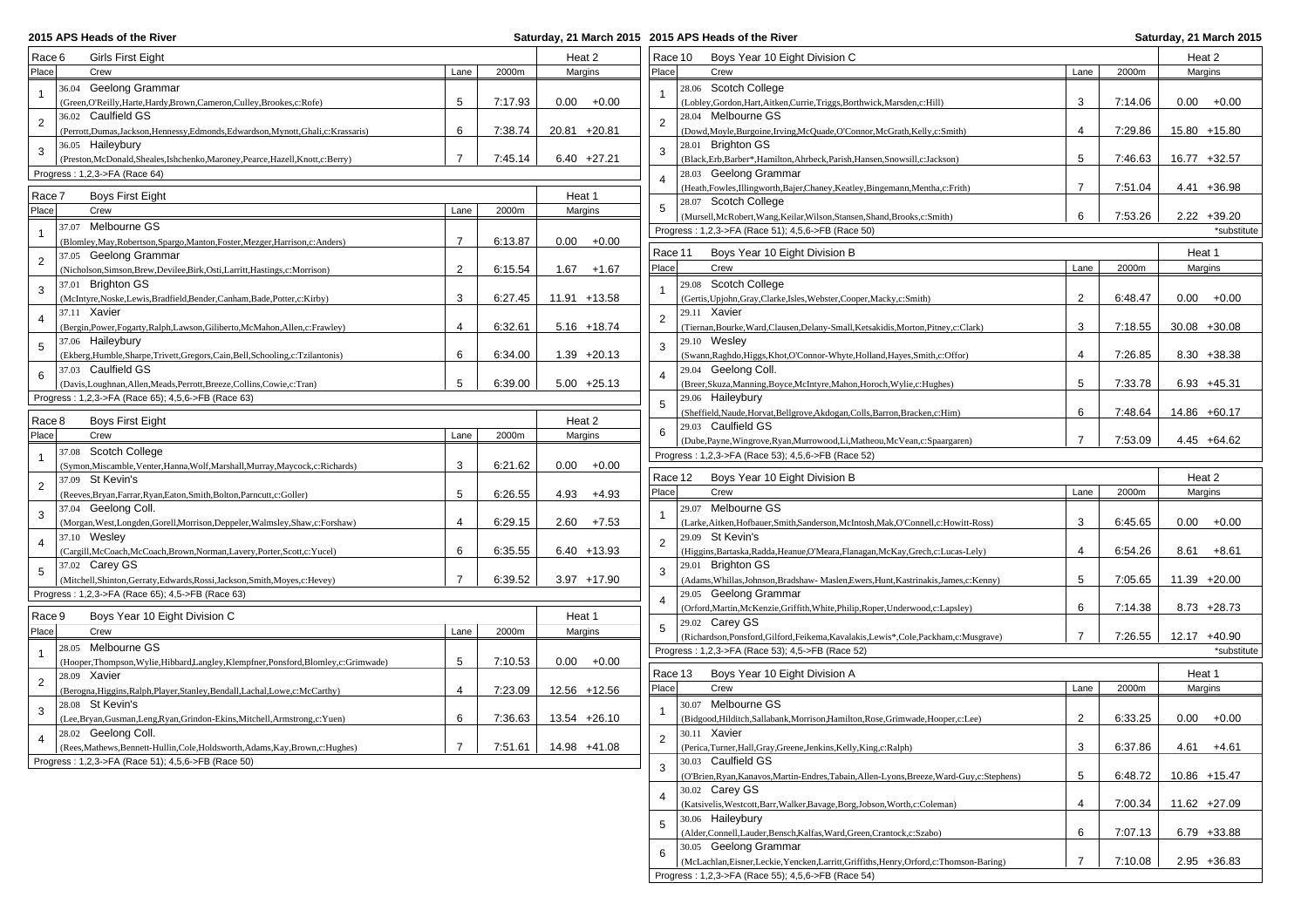**2015 APS Heads of the River** 

| Race 6          | Girls First Eight                                                                                       |                |         | Heat 2         | Race 10        | Boys Year 10 Eight Division C                                                               |                |         | Heat 2          |
|-----------------|---------------------------------------------------------------------------------------------------------|----------------|---------|----------------|----------------|---------------------------------------------------------------------------------------------|----------------|---------|-----------------|
| Place           | Crew                                                                                                    | Lane           | 2000m   | Margins        | Place          | Crew                                                                                        | Lane           | 2000m   | Margins         |
|                 | 36.04 Geelong Grammar                                                                                   |                |         |                |                | 28.06 Scotch College                                                                        |                |         |                 |
| $\mathbf{1}$    | (Green, O'Reilly, Harte, Hardy, Brown, Cameron, Culley, Brookes, c: Rofe)                               | 5              | 7:17.93 | $0.00 + 0.00$  |                | (Lobley, Gordon, Hart, Aitken, Currie, Triggs, Borthwick, Marsden, c: Hill)                 | 3              | 7:14.06 | $0.00 + 0.00$   |
|                 | 36.02 Caulfield GS                                                                                      |                |         |                |                | 28.04 Melbourne GS                                                                          |                |         |                 |
| $\overline{2}$  | (Perrott, Dumas, Jackson, Hennessy, Edmonds, Edwardson, Mynott, Ghali, c: Krassaris)                    | 6              | 7:38.74 | 20.81 +20.81   | $\overline{2}$ | (Dowd, Moyle, Burgoine, Irving, McQuade, O'Connor, McGrath, Kelly, c: Smith)                | $\overline{4}$ | 7:29.86 | 15.80 +15.80    |
| 3               | 36.05 Haileybury                                                                                        |                |         |                |                | 28.01 Brighton GS                                                                           |                |         |                 |
|                 | (Preston, McDonald, Sheales, Ishchenko, Maroney, Pearce, Hazell, Knott, c: Berry)                       | $\overline{7}$ | 7:45.14 | $6.40 +27.21$  |                | (Black, Erb, Barber*, Hamilton, Ahrbeck, Parish, Hansen, Snowsill, c: Jackson)              | 5              | 7:46.63 | 16.77 +32.57    |
|                 | Progress: 1,2,3->FA (Race 64)                                                                           |                |         |                |                | 28.03 Geelong Grammar                                                                       |                |         |                 |
| Race 7          | <b>Boys First Eight</b>                                                                                 |                |         | Heat 1         |                | (Heath, Fowles, Illingworth, Bajer, Chaney, Keatley, Bingemann, Mentha, c: Frith)           | $\overline{7}$ | 7:51.04 | $4.41 + 36.98$  |
| Place           | Crew                                                                                                    | Lane           | 2000m   | Margins        |                | 28.07 Scotch College                                                                        |                |         |                 |
|                 | 37.07 Melbourne GS                                                                                      |                |         |                |                | (Mursell, McRobert, Wang, Keilar, Wilson, Stansen, Shand, Brooks, c: Smith)                 | 6              | 7:53.26 | $2.22 + 39.20$  |
| $\overline{1}$  | (Blomley, May, Robertson, Spargo, Manton, Foster, Mezger, Harrison, c: Anders)                          | $\overline{7}$ | 6:13.87 | $0.00 + 0.00$  |                | Progress: 1,2,3->FA (Race 51); 4,5,6->FB (Race 50)                                          |                |         | *substitute     |
|                 | 37.05 Geelong Grammar                                                                                   |                |         |                | Race 11        | Boys Year 10 Eight Division B                                                               |                |         | Heat 1          |
| $\overline{2}$  | (Nicholson, Simson, Brew, Devilee, Birk, Osti, Larritt, Hastings, c: Morrison)                          | 2              | 6:15.54 | $1.67 + 1.67$  | Place          | Crew                                                                                        | Lane           | 2000m   | Margins         |
|                 | 37.01 Brighton GS                                                                                       |                |         |                |                | 29.08 Scotch College                                                                        |                |         |                 |
| 3               | (McIntyre, Noske, Lewis, Bradfield, Bender, Canham, Bade, Potter, c: Kirby)                             | 3              | 6:27.45 | 11.91 +13.58   |                | (Gertis, Upjohn, Gray, Clarke, Isles, Webster, Cooper, Macky, c: Smith)                     | $\overline{2}$ | 6:48.47 | $0.00 + 0.00$   |
|                 | 37.11 Xavier                                                                                            |                |         |                |                | 29.11 Xavier                                                                                |                |         |                 |
| $\overline{a}$  | (Bergin, Power, Fogarty, Ralph, Lawson, Giliberto, McMahon, Allen, c: Frawley)                          | $\overline{4}$ | 6:32.61 | $5.16 + 18.74$ | $\overline{2}$ | (Tiernan, Bourke, Ward, Clausen, Delany-Small, Ketsakidis, Morton, Pitney, c: Clark)        | 3              | 7:18.55 | $30.08 + 30.08$ |
| $5\phantom{.0}$ | 37.06 Haileybury                                                                                        |                |         |                |                | $29.10$ Wesley                                                                              |                |         |                 |
|                 | (Ekberg, Humble, Sharpe, Trivett, Gregors, Cain, Bell, Schooling, c: Tzilantonis)                       | 6              | 6:34.00 | $1.39 +20.13$  |                | (Swann, Raghdo, Higgs, Khot, O'Connor-Whyte, Holland, Hayes, Smith, c: Offor)               | $\overline{4}$ | 7:26.85 | $8.30 + 38.38$  |
| 6               | 37.03 Caulfield GS                                                                                      |                |         |                |                | 29.04 Geelong Coll.                                                                         |                |         |                 |
|                 | (Davis,Loughnan,Allen,Meads,Perrott,Breeze,Collins,Cowie,c:Tran)                                        | 5              | 6:39.00 | $5.00 +25.13$  |                | (Breer, Skuza, Manning, Boyce, McIntyre, Mahon, Horoch, Wylie, c: Hughes)                   | 5              | 7:33.78 | $6.93 + 45.31$  |
|                 | Progress: 1,2,3->FA (Race 65); 4,5,6->FB (Race 63)                                                      |                |         |                | 5              | 29.06 Haileybury                                                                            |                |         |                 |
| Race 8          | <b>Boys First Eight</b>                                                                                 |                |         | Heat 2         |                | (Sheffield, Naude, Horvat, Bellgrove, Akdogan, Colls, Barron, Bracken, c: Him)              | 6              | 7:48.64 | 14.86 +60.17    |
| Place           | Crew                                                                                                    | Lane           | 2000m   | Margins        | 6              | 29.03 Caulfield GS                                                                          |                |         |                 |
|                 |                                                                                                         |                |         |                |                | (Dube, Payne, Wingrove, Ryan, Murrowood, Li, Matheou, McVean, c: Spaargaren)                | $\overline{7}$ | 7:53.09 | $4.45 +64.62$   |
| $\mathbf{1}$    | 37.08 Scotch College<br>(Symon, Miscamble, Venter, Hanna, Wolf, Marshall, Murray, Maycock, c: Richards) | 3              | 6:21.62 | $0.00 + 0.00$  |                | Progress: 1,2,3->FA (Race 53); 4,5,6->FB (Race 52)                                          |                |         |                 |
|                 | 37.09 St Kevin's                                                                                        |                |         |                | Race 12        | Boys Year 10 Eight Division B                                                               |                |         | Heat 2          |
| $\overline{2}$  | (Reeves, Bryan, Farrar, Ryan, Eaton, Smith, Bolton, Parncutt, c: Goller)                                | 5              | 6:26.55 | $4.93 + 4.93$  | Place          | Crew                                                                                        | Lane           | 2000m   | Margins         |
|                 | 37.04 Geelong Coll.                                                                                     |                |         |                |                | 29.07 Melbourne GS                                                                          |                |         |                 |
| 3               | (Morgan, West, Longden, Gorell, Morrison, Deppeler, Walmsley, Shaw, c: Forshaw)                         | $\overline{4}$ | 6:29.15 | $2.60 + 7.53$  |                | (Larke, Aitken, Hofbauer, Smith, Sanderson, McIntosh, Mak, O'Connell, c: Howitt-Ross)       | 3              | 6:45.65 | $0.00 + 0.00$   |
|                 | 37.10 Wesley                                                                                            |                |         |                |                | 29.09 St Kevin's                                                                            |                |         |                 |
| $\overline{4}$  | (Cargill, McCoach, McCoach, Brown, Norman, Lavery, Porter, Scott, c: Yucel)                             | 6              | 6:35.55 | $6.40 + 13.93$ | $\overline{2}$ | (Higgins, Bartaska, Radda, Heanue, O'Meara, Flanagan, McKay, Grech, c: Lucas-Lely)          | $\overline{4}$ | 6:54.26 | $8.61 + 8.61$   |
|                 | 37.02 Carey GS                                                                                          |                |         |                |                | 29.01 Brighton GS                                                                           |                |         |                 |
| 5               | (Mitchell, Shinton, Gerraty, Edwards, Rossi, Jackson, Smith, Moyes, c: Hevey)                           | $\overline{7}$ | 6:39.52 | $3.97 + 17.90$ |                | (Adams, Whillas, Johnson, Bradshaw- Maslen, Ewers, Hunt, Kastrinakis, James, c: Kenny)      | 5              | 7:05.65 | 11.39 +20.00    |
|                 | Progress: 1,2,3->FA (Race 65); 4,5->FB (Race 63)                                                        |                |         |                |                | 29.05 Geelong Grammar                                                                       |                |         |                 |
|                 |                                                                                                         |                |         |                |                | (Orford, Martin, McKenzie, Griffith, White, Philip, Roper, Underwood, c: Lapsley)           | 6              | 7:14.38 | $8.73 +28.73$   |
| Race 9          | Boys Year 10 Eight Division C                                                                           |                |         | Heat 1         | 5              | 29.02 Carey GS                                                                              |                |         |                 |
| Place           | Crew                                                                                                    | Lane           | 2000m   | Margins        |                | (Richardson, Ponsford, Gilford, Feikema, Kavalakis, Lewis*, Cole, Packham, c: Musgrave)     | $\overline{7}$ | 7:26.55 | 12.17 +40.90    |
| $\mathbf{1}$    | 28.05 Melbourne GS                                                                                      |                |         |                |                | Progress: 1,2,3->FA (Race 53); 4,5->FB (Race 52)                                            |                |         | *substitute     |
|                 | (Hooper, Thompson, Wylie, Hibbard, Langley, Klempfner, Ponsford, Blomley, c: Grimwade)                  | 5              | 7:10.53 | $0.00 + 0.00$  | Race 13        | Boys Year 10 Eight Division A                                                               |                |         | Heat 1          |
| $\overline{2}$  | 28.09 Xavier                                                                                            | $\overline{4}$ |         |                | Place          | Crew                                                                                        | Lane           | 2000m   | Margins         |
|                 | (Berogna, Higgins, Ralph, Player, Stanley, Bendall, Lachal, Lowe, c: McCarthy)<br>28.08 St Kevin's      |                | 7:23.09 | 12.56 +12.56   |                | 30.07 Melbourne GS                                                                          |                |         |                 |
| 3               | (Lee, Bryan, Gusman, Leng, Ryan, Grindon-Ekins, Mitchell, Armstrong, c: Yuen)                           | 6              | 7:36.63 | 13.54 +26.10   |                | (Bidgood,Hilditch,Sallabank,Morrison,Hamilton,Rose,Grimwade,Hooper,c:Lee)                   | $\overline{2}$ | 6:33.25 | $0.00 + 0.00$   |
|                 | 28.02 Geelong Coll.                                                                                     |                |         |                |                | 30.11 Xavier                                                                                |                |         |                 |
|                 | (Rees, Mathews, Bennett-Hullin, Cole, Holdsworth, Adams, Kay, Brown, c: Hughes)                         | $\overline{7}$ | 7:51.61 | 14.98 +41.08   |                | (Perica, Turner, Hall, Gray, Greene, Jenkins, Kelly, King, c: Ralph)                        | 3              | 6:37.86 | $4.61 + 4.61$   |
|                 | Progress: 1,2,3->FA (Race 51); 4,5,6->FB (Race 50)                                                      |                |         |                |                | 30.03 Caulfield GS                                                                          |                |         |                 |
|                 |                                                                                                         |                |         |                | 3              | (O'Brien, Ryan, Kanavos, Martin-Endres, Tabain, Allen-Lyons, Breeze, Ward-Guy, c: Stephens) | 5              | 6:48.72 | 10.86 +15.47    |
|                 |                                                                                                         |                |         |                |                | 30.02 Carey GS                                                                              |                |         |                 |
|                 |                                                                                                         |                |         |                | 4              | (Katsivelis, Westcott, Barr, Walker, Bavage, Borg, Jobson, Worth, c: Coleman)               | 4              | 7:00.34 | 11.62 +27.09    |
|                 |                                                                                                         |                |         |                |                | 30.06 Haileybury                                                                            |                |         |                 |
|                 |                                                                                                         |                |         |                | 5              | (Alder,Connell,Lauder,Bensch,Kalfas,Ward,Green,Crantock,c:Szabo)                            | 6              | 7:07.13 | $6.79 + 33.88$  |
|                 |                                                                                                         |                |         |                |                | 30.05 Geelong Grammar                                                                       |                |         |                 |
|                 |                                                                                                         |                |         |                | 6              | (McLachlan, Eisner, Leckie, Yencken, Larritt, Griffiths, Henry, Orford, c: Thomson-Baring)  | $\overline{7}$ | 7:10.08 | $2.95 + 36.83$  |
|                 |                                                                                                         |                |         |                |                | Progress: 1,2,3->FA (Race 55); 4,5,6->FB (Race 54)                                          |                |         |                 |
|                 |                                                                                                         |                |         |                |                |                                                                                             |                |         |                 |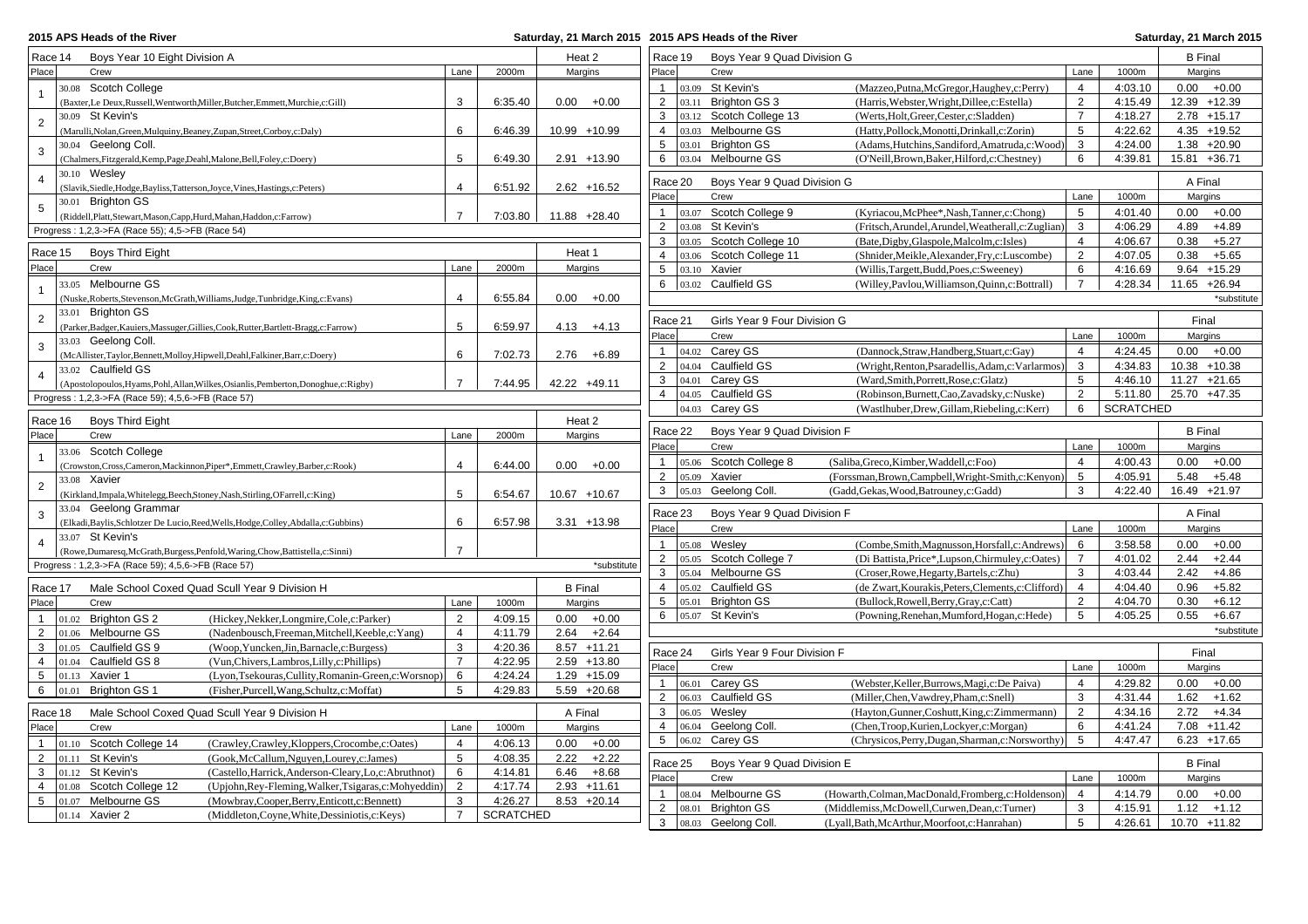## **2015 APS Heads of the River**

| Race 14               | Boys Year 10 Eight Division A                                                                                                                               |                |                  | Heat 2          | Race 19                     | Boys Year 9 Quad Division G         |                                                      |                     |                    | <b>B</b> Final                 |
|-----------------------|-------------------------------------------------------------------------------------------------------------------------------------------------------------|----------------|------------------|-----------------|-----------------------------|-------------------------------------|------------------------------------------------------|---------------------|--------------------|--------------------------------|
| Place                 | Crew                                                                                                                                                        | Lane           | 2000m            | Margins         | Place                       | Crew                                |                                                      | Lane                | 1000m              | Margins                        |
| $\mathbf{1}$          | 30.08 Scotch College                                                                                                                                        |                |                  |                 | $\mathbf{1}$                | 03.09 St Kevin's                    | (Mazzeo, Putna, McGregor, Haughey, c: Perry)         | $\overline{4}$      | 4:03.10            | $0.00 + 0.00$                  |
|                       | (Baxter,Le Deux,Russell,Wentworth,Miller,Butcher,Emmett,Murchie,c:Gill)                                                                                     | 3              | 6:35.40          | 0.00<br>$+0.00$ | $\overline{2}$              | 03.11 Brighton GS 3                 | (Harris, Webster, Wright, Dillee, c: Estella)        | 2                   | 4:15.49            | 12.39 +12.39                   |
| $\overline{2}$        | 30.09 St Kevin's                                                                                                                                            |                |                  |                 | 3                           | 03.12 Scotch College 13             | (Werts, Holt, Greer, Cester, c: Sladden)             | $\overline{7}$      | 4:18.27            | $2.78 + 15.17$                 |
|                       | (Marulli, Nolan, Green, Mulquiny, Beaney, Zupan, Street, Corboy, c: Daly)                                                                                   | 6              | 6:46.39          | 10.99 +10.99    | $\overline{4}$              | 03.03 Melbourne GS                  | (Hatty,Pollock,Monotti,Drinkall,c:Zorin)             | 5                   | 4:22.62            | $4.35 + 19.52$                 |
| $\mathbf{3}$          | 30.04 Geelong Coll.                                                                                                                                         |                |                  |                 | $\sqrt{5}$                  | 03.01 Brighton GS                   | (Adams, Hutchins, Sandiford, Amatruda, c: Wood)      | 3                   | 4:24.00            | $1.38 + 20.90$                 |
|                       | (Chalmers, Fitzgerald, Kemp, Page, Deahl, Malone, Bell, Foley, c: Doery)                                                                                    | 5              | 6:49.30          | $2.91 + 13.90$  | 6                           | 03.04 Melbourne GS                  | (O'Neill, Brown, Baker, Hilford, c: Chestney)        | 6                   | 4:39.81            | 15.81 +36.71                   |
| $\overline{4}$        | 30.10 Wesley                                                                                                                                                |                |                  |                 | Race 20                     | Boys Year 9 Quad Division G         |                                                      |                     |                    | A Final                        |
|                       | (Slavik, Siedle, Hodge, Bayliss, Tatterson, Joyce, Vines, Hastings, c: Peters)                                                                              | $\overline{4}$ | 6:51.92          | $2.62 + 16.52$  | Place                       | Crew                                |                                                      | Lane                |                    |                                |
| $5\phantom{.0}$       | 30.01 Brighton GS                                                                                                                                           |                |                  |                 |                             |                                     |                                                      |                     | 1000m              | Margins                        |
|                       | (Riddell, Platt, Stewart, Mason, Capp, Hurd, Mahan, Haddon, c: Farrow)                                                                                      | $\overline{7}$ | 7:03.80          | 11.88 +28.40    | 1                           | 03.07 Scotch College 9              | (Kyriacou, McPhee*, Nash, Tanner, c: Chong)          | 5                   | 4:01.40            | $0.00 + 0.00$                  |
|                       | Progress: 1,2,3->FA (Race 55); 4,5->FB (Race 54)                                                                                                            |                |                  |                 | $\overline{2}$              | 03.08 St Kevin's                    | (Fritsch, Arundel, Arundel, Weatherall, c: Zuglian)  | 3                   | 4:06.29            | 4.89<br>$+4.89$                |
| Race 15               | Boys Third Eight                                                                                                                                            |                |                  | Heat 1          | $\mathbf{3}$                | 03.05 Scotch College 10             | (Bate,Digby,Glaspole,Malcolm,c:Isles)                | $\overline{4}$      | 4:06.67            | 0.38<br>$+5.27$                |
| Place                 | Crew                                                                                                                                                        | Lane           | 2000m            |                 | $\overline{4}$              | 03.06 Scotch College 11             | (Shnider, Meikle, Alexander, Fry, c: Luscombe)       | 2                   | 4:07.05            | 0.38<br>$+5.65$                |
|                       |                                                                                                                                                             |                |                  | Margins         | 5                           | 03.10 Xavier                        | (Willis, Targett, Budd, Poes, c: Sweeney)            | 6                   | 4:16.69            | $9.64$ +15.29                  |
| $\mathbf{1}$          | 33.05 Melbourne GS                                                                                                                                          |                |                  |                 | 6                           | 03.02 Caulfield GS                  | (Willey, Pavlou, Williamson, Quinn, c: Bottrall)     | $\overline{7}$      | 4:28.34            | 11.65 +26.94                   |
|                       | (Nuske, Roberts, Stevenson, McGrath, Williams, Judge, Tunbridge, King, c: Evans)                                                                            | $\overline{4}$ | 6:55.84          | $0.00 + 0.00$   |                             |                                     |                                                      |                     |                    | *substitute                    |
| $\overline{2}$        | 33.01 Brighton GS                                                                                                                                           |                |                  |                 | Race 21                     | Girls Year 9 Four Division G        |                                                      |                     |                    | Final                          |
|                       | (Parker, Badger, Kauiers, Massuger, Gillies, Cook, Rutter, Bartlett-Bragg, c: Farrow)                                                                       | 5              | 6:59.97          | $4.13 + 4.13$   | Place                       | Crew                                |                                                      | Lane                | 1000m              | Margins                        |
| $\mathbf{3}$          | 33.03 Geelong Coll.                                                                                                                                         |                |                  |                 | 1                           | 04.02 Carev GS                      | (Dannock, Straw, Handberg, Stuart, c: Gay)           | $\overline{4}$      | 4:24.45            | $0.00 + 0.00$                  |
|                       | (McAllister,Taylor,Bennett,Molloy,Hipwell,Deahl,Falkiner,Barr,c:Doery)                                                                                      | 6              | 7:02.73          | $2.76 + 6.89$   | 2                           | 04.04 Caulfield GS                  | (Wright, Renton, Psaradellis, Adam, c: Varlarmos)    | 3                   | 4:34.83            | 10.38 +10.38                   |
| $\overline{4}$        | 33.02 Caulfield GS                                                                                                                                          |                |                  |                 | 3                           | 04.01 Carey GS                      | (Ward,Smith,Porrett,Rose,c:Glatz)                    | 5                   | 4:46.10            | $11.27 + 21.65$                |
|                       | (Apostolopoulos, Hyams, Pohl, Allan, Wilkes, Osianlis, Pemberton, Donoghue, c: Rigby)                                                                       | $\overline{7}$ | 7:44.95          | 42.22 +49.11    | $\overline{4}$              | 04.05 Caulfield GS                  | (Robinson, Burnett, Cao, Zavadsky, c: Nuske)         | 2                   | 5:11.80            | 25.70 +47.35                   |
|                       | Progress: 1,2,3->FA (Race 59); 4,5,6->FB (Race 57)                                                                                                          |                |                  |                 |                             | 04.03 Carey GS                      | (Wastlhuber, Drew, Gillam, Riebeling, c: Kerr)       | 6                   | <b>SCRATCHED</b>   |                                |
|                       | Race 16<br><b>Boys Third Eight</b>                                                                                                                          |                |                  | Heat 2          |                             |                                     |                                                      |                     |                    |                                |
| Place<br>Crew<br>Lane |                                                                                                                                                             | 2000m          | Margins          | Race 22         | Boys Year 9 Quad Division F |                                     |                                                      |                     | <b>B</b> Final     |                                |
|                       | <b>Scotch College</b><br>33.06                                                                                                                              |                |                  |                 | Place                       | Crew                                |                                                      | Lane                | 1000m              | Margins                        |
| $\mathbf{1}$          | (Crowston, Cross, Cameron, Mackinnon, Piper*, Emmett, Crawley, Barber, c: Rook)                                                                             | $\overline{4}$ | 6:44.00          | $0.00 + 0.00$   | $\mathbf{1}$                | 05.06 Scotch College 8              | (Saliba, Greco, Kimber, Waddell, c: Foo)             | $\overline{4}$      | 4:00.43            | 0.00<br>$+0.00$                |
|                       | 33.08 Xavier                                                                                                                                                |                |                  |                 | 2                           | 05.09 Xavier                        | (Forssman, Brown, Campbell, Wright-Smith, c: Kenyon) | 5                   | 4:05.91            | 5.48<br>$+5.48$                |
| $\overline{2}$        | (Kirkland, Impala, Whitelegg, Beech, Stoney, Nash, Stirling, OFarrell, c: King)                                                                             | 5              | 6:54.67          | 10.67 +10.67    | $\mathbf{3}$                | 05.03 Geelong Coll.                 | (Gadd, Gekas, Wood, Batrouney, c: Gadd)              | 3                   | 4:22.40            | 16.49 +21.97                   |
|                       | 33.04 Geelong Grammar                                                                                                                                       |                |                  |                 |                             |                                     |                                                      |                     |                    |                                |
| $\mathbf{3}$          | (Elkadi, Baylis, Schlotzer De Lucio, Reed, Wells, Hodge, Colley, Abdalla, c: Gubbins)                                                                       | 6              | 6:57.98          | $3.31 + 13.98$  | Race 23                     | Boys Year 9 Quad Division F         |                                                      |                     |                    | A Final                        |
|                       | 33.07 St Kevin's                                                                                                                                            |                |                  |                 | Place                       | Crew                                |                                                      | Lane                | 1000m              | Margins                        |
| $\overline{4}$        | $\label{lem:convex} (\text{Rowe},\text{Dumaresq},\text{McGrath},\text{Burgess},\text{Penfold},\text{Waring},\text{Chow},\text{Battistella},\text{c:Sinni})$ | $\overline{7}$ |                  |                 | $\mathbf{1}$                | 05.08 Wesley                        | (Combe, Smith, Magnusson, Horsfall, c: Andrews)      | 6                   | 3:58.58            | $0.00 + 0.00$                  |
|                       | Progress: 1,2,3->FA (Race 59); 4,5,6->FB (Race 57)                                                                                                          |                |                  | *substitute     | $\overline{2}$              | 05.05 Scotch College 7              | (Di Battista, Price*, Lupson, Chirmuley, c: Oates)   | $\overline{7}$      | 4:01.02            | 2.44<br>$+2.44$                |
|                       |                                                                                                                                                             |                |                  |                 | 3                           | 05.04 Melbourne GS                  | (Croser, Rowe, Hegarty, Bartels, c: Zhu)             | 3                   | 4:03.44            | 2.42<br>$+4.86$                |
| Race 17               | Male School Coxed Quad Scull Year 9 Division H                                                                                                              |                |                  | <b>B</b> Final  | $\overline{4}$              | 05.02 Caulfield GS                  | (de Zwart, Kourakis, Peters, Clements, c: Clifford)  | $\overline{4}$      | 4:04.40            | 0.96<br>$+5.82$                |
| Place                 | Crew                                                                                                                                                        | Lane           | 1000m            | Margins         | 5                           | 05.01 Brighton GS                   | (Bullock, Rowell, Berry, Gray, c: Catt)              | $\overline{2}$      | 4:04.70            | 0.30<br>$+6.12$                |
| 1                     | 01.02 Brighton GS 2<br>(Hickey, Nekker, Longmire, Cole, c: Parker)                                                                                          | $\overline{2}$ | 4:09.15          | $0.00 + 0.00$   | 6                           | 05.07 St Kevin's                    | (Powning, Renehan, Mumford, Hogan, c: Hede)          | 5                   | 4:05.25            | 0.55<br>$+6.67$                |
| $\overline{2}$        | 01.06 Melbourne GS<br>(Nadenbousch, Freeman, Mitchell, Keeble, c: Yang)                                                                                     | $\overline{4}$ | 4:11.79          | $2.64 + 2.64$   |                             |                                     |                                                      |                     |                    | *substitute                    |
| 3                     | 01.05 Caulfield GS 9<br>(Woop, Yuncken, Jin, Barnacle, c: Burgess)                                                                                          | 3              | 4:20.36          | $8.57 + 11.21$  | Race 24                     | Girls Year 9 Four Division F        |                                                      |                     |                    | Final                          |
| $\overline{4}$        | 01.04 Caulfield GS 8<br>(Vun, Chivers, Lambros, Lilly, c: Phillips)                                                                                         | $\overline{7}$ | 4:22.95          | $2.59 + 13.80$  | Place                       | Crew                                |                                                      | Lane                | 1000m              | Margins                        |
|                       | 5 $ 01.13$ Xavier 1<br>(Lyon,Tsekouras,Cullity,Romanin-Green,c:Worsnop)                                                                                     | 6              | 4:24.24          | $1.29 + 15.09$  |                             |                                     |                                                      |                     |                    |                                |
|                       | 6 $ 01.01$<br><b>Brighton GS 1</b><br>(Fisher, Purcell, Wang, Schultz, c: Moffat)                                                                           | 5              | 4:29.83          | $5.59 + 20.68$  | $\overline{1}$              | 06.01 Carey GS                      | (Webster, Keller, Burrows, Magi, c: De Paiva)        | $\overline{4}$      | 4:29.82            | 0.00<br>$+0.00$                |
|                       |                                                                                                                                                             |                |                  |                 | $\overline{2}$<br>3         | 06.03 Caulfield GS                  | (Miller, Chen, Vawdrey, Pham, c: Snell)              | 3<br>$\overline{2}$ | 4:31.44            | $1.62 + 1.62$                  |
| Race 18               | Male School Coxed Quad Scull Year 9 Division H                                                                                                              |                |                  | A Final         | $\overline{4}$              | 06.05 Weslev<br>06.04 Geelong Coll. | (Hayton, Gunner, Coshutt, King, c: Zimmermann)       |                     | 4:34.16<br>4:41.24 | $2.72 +4.34$<br>$7.08 + 11.42$ |
| Place                 | Crew                                                                                                                                                        | Lane           | 1000m            | Margins         |                             |                                     | (Chen, Troop, Kurien, Lockyer, c: Morgan)            | 6                   |                    |                                |
| 1                     | 01.10 Scotch College 14<br>(Crawley, Crawley, Kloppers, Crocombe, c: Oates)                                                                                 | $\overline{4}$ | 4:06.13          | $0.00 + 0.00$   | $5\overline{)}$             | 06.02 Carey GS                      | (Chrysicos, Perry, Dugan, Sharman, c: Norsworthy)    | 5                   | 4:47.47            | $6.23 + 17.65$                 |
| $2^{\circ}$           | St Kevin's<br>01.11<br>(Gook, McCallum, Nguyen, Lourey, c: James)                                                                                           | 5              | 4:08.35          | 2.22<br>$+2.22$ | Race 25                     | Boys Year 9 Quad Division E         |                                                      |                     |                    | <b>B</b> Final                 |
|                       | $3$ 01.12 St Kevin's<br>(Castello, Harrick, Anderson-Cleary, Lo, c: Abruthnot)                                                                              | 6              | 4:14.81          | $+8.68$<br>6.46 | Place                       | Crew                                |                                                      | Lane                | 1000m              | Margins                        |
| 4                     | 01.08 Scotch College 12<br>(Upjohn, Rey-Fleming, Walker, Tsigaras, c: Mohyeddin)                                                                            | 2              | 4:17.74          | $2.93 + 11.61$  | $\mathbf{1}$                | 08.04 Melbourne GS                  | (Howarth, Colman, MacDonald, Fromberg, c: Holdenson  | $\overline{4}$      | 4:14.79            | $0.00 + 0.00$                  |
| $5\overline{)}$       | 01.07 Melbourne GS<br>(Mowbray,Cooper,Berry,Enticott,c:Bennett)                                                                                             | 3              | 4:26.27          | $8.53 +20.14$   | $\overline{2}$              | 08.01 Brighton GS                   | (Middlemiss, McDowell, Curwen, Dean, c: Turner)      | 3                   | 4:15.91            | $1.12 + 1.12$                  |
|                       | 01.14 Xavier 2<br>(Middleton, Coyne, White, Dessiniotis, c: Keys)                                                                                           | $\overline{7}$ | <b>SCRATCHED</b> |                 | $\mathbf{3}$                | 08.03 Geelong Coll.                 | (Lyall, Bath, McArthur, Moorfoot, c: Hanrahan)       | 5                   | 4:26.61            | 10.70 +11.82                   |
|                       |                                                                                                                                                             |                |                  |                 |                             |                                     |                                                      |                     |                    |                                |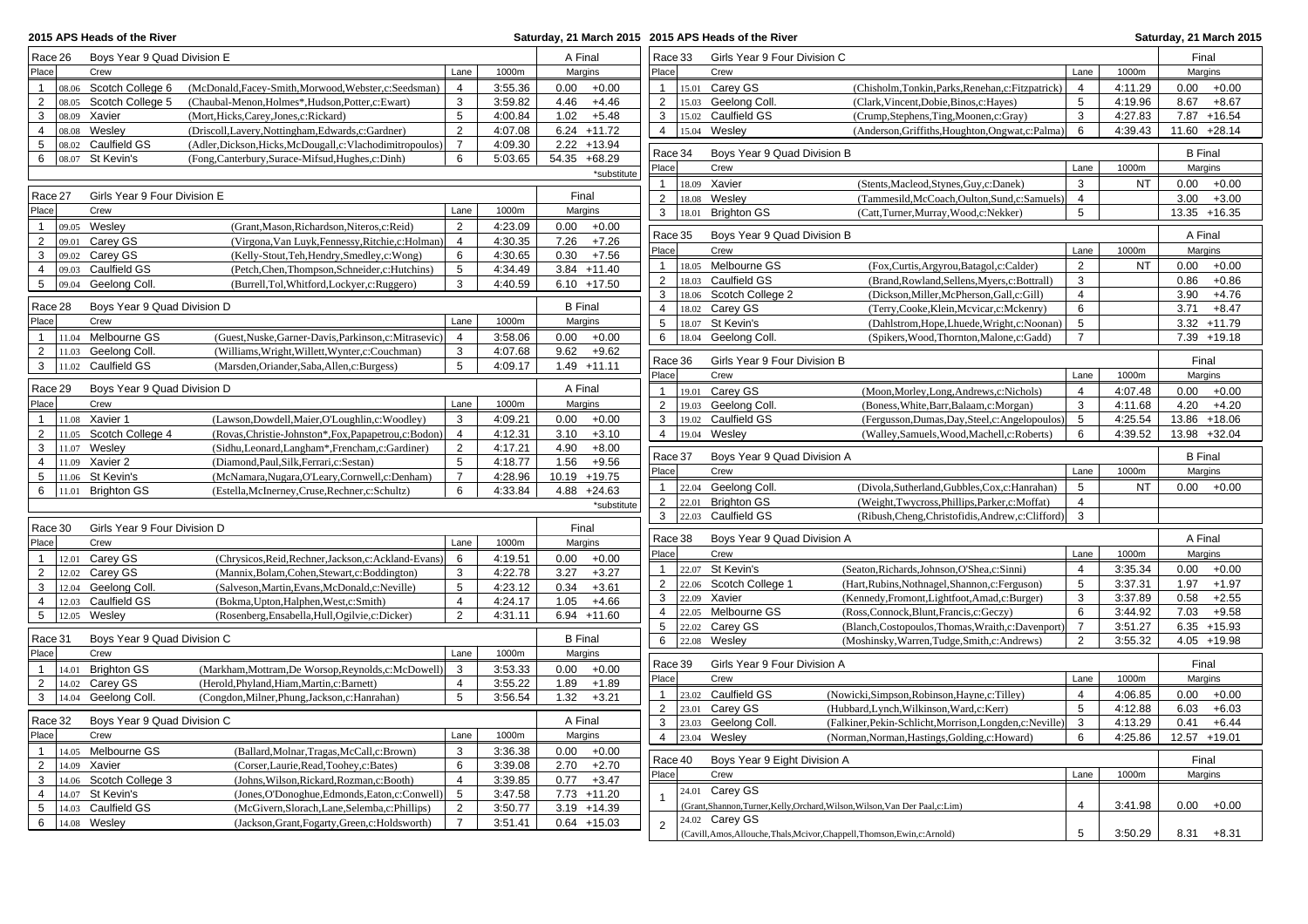|                         | 2015 APS Heads of the River         |                                                                                                                 |         | Saturday, 21 March 2015 2015 APS Heads of the River |                         |                                         |                                                                                |                                  |           | Saturday, 21 March 2015          |
|-------------------------|-------------------------------------|-----------------------------------------------------------------------------------------------------------------|---------|-----------------------------------------------------|-------------------------|-----------------------------------------|--------------------------------------------------------------------------------|----------------------------------|-----------|----------------------------------|
| Race 26                 | Boys Year 9 Quad Division E         |                                                                                                                 |         | A Final                                             | Race 33                 | Girls Year 9 Four Division C            |                                                                                |                                  |           | Final                            |
| Place                   | Crew                                | Lane                                                                                                            | 1000m   | Margins                                             | Place                   | Crew                                    |                                                                                | Lane                             | 1000m     | Margins                          |
| $\mathbf{1}$            | 08.06 Scotch College 6              | (McDonald, Facey-Smith, Morwood, Webster, c: Seedsman)<br>$\overline{4}$                                        | 3:55.36 | 0.00<br>$+0.00$                                     | 1                       | 15.01 Carey GS                          | (Chisholm,Tonkin,Parks,Renehan,c:Fitzpatrick)                                  | $\overline{4}$                   | 4:11.29   | 0.00<br>$+0.00$                  |
| 2                       | 08.05 Scotch College 5              | 3<br>(Chaubal-Menon, Holmes*, Hudson, Potter, c: Ewart)                                                         | 3:59.82 | 4.46<br>$+4.46$                                     | $\overline{2}$          | 15.03 Geelong Coll.                     | (Clark, Vincent, Dobie, Binos, c: Hayes)                                       | 5                                | 4:19.96   | 8.67<br>$+8.67$                  |
| 3                       | 08.09 Xavier                        | $\sqrt{5}$<br>(Mort, Hicks, Carey, Jones, c: Rickard)                                                           | 4:00.84 | $+5.48$<br>1.02                                     | $\mathbf{3}$            | 15.02 Caulfield GS                      | (Crump,Stephens,Ting,Moonen,c:Gray)                                            | 3                                | 4:27.83   | 7.87 +16.54                      |
| $\overline{4}$<br>08.08 | Wesley                              | $\overline{2}$<br>(Driscoll,Lavery,Nottingham,Edwards,c:Gardner)                                                | 4:07.08 | $6.24$ +11.72                                       | $\overline{4}$          | 15.04 Wesley                            | (Anderson, Griffiths, Houghton, Ongwat, c: Palma)                              | 6                                | 4:39.43   | 11.60 +28.14                     |
| 5                       | 08.02 Caulfield GS                  | $\overline{7}$<br>(Adler,Dickson,Hicks,McDougall,c:Vlachodimitropoulos)                                         | 4:09.30 | $2.22 + 13.94$                                      | Race 34                 | Boys Year 9 Quad Division B             |                                                                                |                                  |           | <b>B</b> Final                   |
| 6                       | $ 08.07$ St Kevin's                 | (Fong,Canterbury,Surace-Mifsud,Hughes,c:Dinh)<br>6                                                              | 5:03.65 | 54.35 +68.29                                        | Place                   | Crew                                    |                                                                                | Lane                             | 1000m     | Margins                          |
|                         |                                     |                                                                                                                 |         | *substitute                                         | $\mathbf{1}$            | 18.09 Xavier                            | (Stents, Macleod, Stynes, Guy, c: Danek)                                       | 3                                | <b>NT</b> | 0.00<br>$+0.00$                  |
| Race 27                 | Girls Year 9 Four Division E        |                                                                                                                 |         | Final                                               | $\overline{2}$          | 18.08 Wesley                            | (Tammesild, McCoach, Oulton, Sund, c: Samuels)                                 | $\overline{4}$                   |           | 3.00<br>$+3.00$                  |
| Place                   | Crew                                | Lane                                                                                                            | 1000m   | Margins                                             | 3                       | 18.01 Brighton GS                       | (Catt,Turner,Murray,Wood,c:Nekker)                                             | 5                                |           | 13.35 +16.35                     |
| $\mathbf{1}$            | 09.05 Wesley                        | 2<br>(Grant, Mason, Richardson, Niteros, c: Reid)                                                               | 4:23.09 | 0.00<br>$+0.00$                                     |                         |                                         |                                                                                |                                  |           |                                  |
| 2<br>09.01              | Carey GS                            | $\overline{4}$<br>(Virgona, Van Luyk, Fennessy, Ritchie, c: Holman)                                             | 4:30.35 | 7.26<br>$+7.26$                                     | Race 35                 | Boys Year 9 Quad Division B             |                                                                                |                                  |           | A Final                          |
| 3                       | 09.02 Carey GS                      | (Kelly-Stout, Teh, Hendry, Smedley, c: Wong)<br>6                                                               | 4:30.65 | $+7.56$<br>0.30                                     | Place                   | Crew                                    |                                                                                | Lane                             | 1000m     | Margins                          |
| $\overline{4}$          | 09.03 Caulfield GS                  | 5<br>(Petch, Chen, Thompson, Schneider, c: Hutchins)                                                            | 4:34.49 | $3.84$ +11.40                                       | $\mathbf{1}$            | 18.05 Melbourne GS                      | (Fox,Curtis,Argyrou,Batagol,c:Calder)                                          | $\overline{2}$                   | <b>NT</b> | 0.00<br>$+0.00$                  |
| $5\phantom{.0}$         | 09.04 Geelong Coll.                 | 3<br>(Burrell,Tol,Whitford,Lockyer,c:Ruggero)                                                                   | 4:40.59 | $6.10 + 17.50$                                      | $\overline{2}$          | 18.03 Caulfield GS                      | (Brand, Rowland, Sellens, Myers, c: Bottrall)                                  | 3                                |           | 0.86<br>$+0.86$                  |
|                         |                                     |                                                                                                                 |         | <b>B</b> Final                                      | 3                       | 18.06 Scotch College 2                  | (Dickson, Miller, McPherson, Gall, c: Gill)                                    | $\overline{4}$                   |           | 3.90<br>$+4.76$                  |
| Race 28<br>Place        | Boys Year 9 Quad Division D<br>Crew | Lane                                                                                                            | 1000m   | Margins                                             | $\overline{4}$          | 18.02 Carey GS                          | (Terry, Cooke, Klein, Mcvicar, c: Mckenry)                                     | 6                                |           | $+8.47$<br>3.71                  |
| $\mathbf{1}$            | 11.04 Melbourne GS                  | 4                                                                                                               | 3:58.06 | $0.00 + 0.00$                                       | 5<br>6                  | 18.07 St Kevin's<br>18.04 Geelong Coll. | (Dahlstrom, Hope, Lhuede, Wright, c: Noonan                                    | 5<br>$\overline{7}$              |           | $3.32 + 11.79$<br>$7.39 + 19.18$ |
| 2                       | 11.03 Geelong Coll.                 | (Guest, Nuske, Garner-Davis, Parkinson, c: Mitrasevic)<br>3<br>(Williams, Wright, Willett, Wynter, c: Couchman) | 4:07.68 | 9.62<br>$+9.62$                                     |                         |                                         | (Spikers, Wood, Thornton, Malone, c: Gadd)                                     |                                  |           |                                  |
| $\mathbf{3}$            | 11.02 Caulfield GS                  | 5<br>(Marsden, Oriander, Saba, Allen, c: Burgess)                                                               | 4:09.17 | $1.49 + 11.11$                                      | Race 36                 | Girls Year 9 Four Division B            |                                                                                |                                  |           | Final                            |
|                         |                                     |                                                                                                                 |         |                                                     | Place                   | Crew                                    |                                                                                | Lane                             | 1000m     | Margins                          |
| Race 29                 | Boys Year 9 Quad Division D         |                                                                                                                 |         | A Final                                             | $\mathbf{1}$            | 19.01 Carey GS                          | (Moon, Morley, Long, Andrews, c: Nichols)                                      | $\overline{4}$                   | 4:07.48   | 0.00<br>$+0.00$                  |
| Place                   | Crew                                | Lane                                                                                                            | 1000m   | Margins                                             | $\overline{2}$          | 19.03 Geelong Coll.                     | (Boness, White, Barr, Balaam, c: Morgan)                                       | 3                                | 4:11.68   | 4.20<br>$+4.20$                  |
| $\mathbf{1}$            | 11.08 Xavier 1                      | (Lawson, Dowdell, Maier, O'Loughlin, c: Woodley)<br>3                                                           | 4:09.21 | 0.00<br>$+0.00$                                     | 3                       | 19.02 Caulfield GS                      | (Fergusson, Dumas, Day, Steel, c: Angelopoulos)                                | 5                                | 4:25.54   | 13.86 +18.06                     |
| $\overline{2}$          | 11.05 Scotch College 4              | (Rovas, Christie-Johnston*, Fox, Papapetrou, c: Bodon)<br>$\overline{4}$                                        | 4:12.31 | $+3.10$<br>3.10                                     | $\overline{4}$          | 19.04 Wesley                            | (Walley,Samuels,Wood,Machell,c:Roberts)                                        | 6                                | 4:39.52   | 13.98 +32.04                     |
| 3                       | 11.07 Wesley                        | (Sidhu,Leonard,Langham*,Frencham,c:Gardiner)<br>$\overline{2}$                                                  | 4:17.21 | 4.90<br>$+8.00$                                     | Race 37                 | Boys Year 9 Quad Division A             |                                                                                |                                  |           | <b>B</b> Final                   |
| $\overline{4}$          | 11.09 Xavier 2                      | 5<br>(Diamond, Paul, Silk, Ferrari, c: Sestan)                                                                  | 4:18.77 | $+9.56$<br>1.56                                     | Place                   | Crew                                    |                                                                                | Lane                             | 1000m     | Margins                          |
| 5                       | 11.06 St Kevin's                    | $\overline{7}$<br>(McNamara, Nugara, O'Leary, Cornwell, c: Denham)                                              | 4:28.96 | 10.19 +19.75                                        | $\mathbf{1}$            | 22.04 Geelong Coll.                     | (Divola, Sutherland, Gubbles, Cox, c: Hanrahan)                                | 5                                | <b>NT</b> | $0.00 + 0.00$                    |
|                         | 6   11.01 Brighton GS               | 6<br>(Estella, McInerney, Cruse, Rechner, c: Schultz)                                                           | 4:33.84 | $4.88 + 24.63$                                      | $\overline{2}$          | 22.01 Brighton GS                       | (Weight, Twycross, Phillips, Parker, c: Moffat)                                | 4                                |           |                                  |
|                         |                                     |                                                                                                                 |         | *substitute                                         | $\mathbf{3}$            | 22.03 Caulfield GS                      | (Ribush, Cheng, Christofidis, Andrew, c: Clifford)                             | 3                                |           |                                  |
| Race 30                 | Girls Year 9 Four Division D        |                                                                                                                 |         | Final                                               |                         |                                         |                                                                                |                                  |           |                                  |
| Place                   | Crew                                | Lane                                                                                                            | 1000m   | Margins                                             | Race 38                 | Boys Year 9 Quad Division A             |                                                                                |                                  |           | A Final                          |
| $\mathbf{1}$            | 12.01 Carey GS                      | (Chrysicos, Reid, Rechner, Jackson, c: Ackland-Evans)<br>6                                                      | 4:19.51 | 0.00<br>$+0.00$                                     | Place                   | Crew                                    |                                                                                | Lane                             | 1000m     | Margins                          |
| 2                       | 12.02 Carey GS                      | 3<br>(Mannix, Bolam, Cohen, Stewart, c: Boddington)                                                             | 4:22.78 | $+3.27$<br>3.27                                     |                         | 22.07 St Kevin's                        | (Seaton, Richards, Johnson, O'Shea, c: Sinni)                                  | $\overline{4}$                   | 3:35.34   | 0.00<br>$+0.00$                  |
| 3                       | 12.04 Geelong Coll.                 | 5<br>(Salveson, Martin, Evans, McDonald, c: Neville)                                                            | 4:23.12 | $+3.61$<br>0.34                                     | $\overline{2}$          | 22.06 Scotch College 1                  | (Hart, Rubins, Nothnagel, Shannon, c: Ferguson)                                | 5                                | 3:37.31   | 1.97<br>$+1.97$                  |
| $\overline{4}$<br>12.03 | Caulfield GS                        | $\overline{4}$<br>(Bokma, Upton, Halphen, West, c: Smith)                                                       | 4:24.17 | $+4.66$<br>1.05                                     | 3                       | 22.09 Xavier                            | (Kennedy, Fromont, Lightfoot, Amad, c: Burger)                                 | 3                                | 3:37.89   | 0.58<br>$+2.55$                  |
| $5\phantom{.0}$         | 12.05 Wesley                        | $\overline{2}$<br>(Rosenberg, Ensabella, Hull, Ogilvie, c: Dicker)                                              | 4:31.11 | $6.94 + 11.60$                                      | $\overline{4}$          | 22.05 Melbourne GS                      | (Ross,Connock,Blunt,Francis,c:Geczy)                                           | 6                                | 3:44.92   | 7.03<br>$+9.58$                  |
| Race 31                 | Boys Year 9 Quad Division C         |                                                                                                                 |         | <b>B</b> Final                                      | 5<br>22.02<br>6         | Carey GS<br>22.08 Wesley                | (Blanch, Costopoulos, Thomas, Wraith, c: Davenport                             | $\overline{7}$<br>$\overline{2}$ | 3:51.27   | $6.35 + 15.93$                   |
| Place                   | Crew                                | Lane                                                                                                            | 1000m   | Margins                                             |                         |                                         | (Moshinsky, Warren, Tudge, Smith, c: Andrews)                                  |                                  | 3:55.32   | $4.05 + 19.98$                   |
| $\mathbf{1}$<br>14.01   | <b>Brighton GS</b>                  | 3<br>(Markham, Mottram, De Worsop, Reynolds, c: McDowell)                                                       | 3:53.33 | 0.00<br>$+0.00$                                     | Race 39                 | Girls Year 9 Four Division A            |                                                                                |                                  |           | Final                            |
| $\overline{2}$          | $14.02$ Carey GS                    | (Herold, Phyland, Hiam, Martin, c: Barnett)<br>$\overline{4}$                                                   | 3:55.22 | 1.89<br>$+1.89$                                     | Place                   | Crew                                    |                                                                                | Lane                             | 1000m     | Margins                          |
| $\mathbf{3}$<br>14.04   | Geelong Coll.                       | 5<br>(Congdon, Milner, Phung, Jackson, c: Hanrahan)                                                             | 3:56.54 | 1.32<br>$+3.21$                                     | $\mathbf{1}$            | 23.02 Caulfield GS                      | (Nowicki, Simpson, Robinson, Hayne, c: Tilley)                                 | $\overline{4}$                   | 4:06.85   | 0.00<br>$+0.00$                  |
|                         |                                     |                                                                                                                 |         |                                                     | $\overline{2}$<br>23.01 | Carey GS                                | (Hubbard, Lynch, Wilkinson, Ward, c: Kerr)                                     | 5                                | 4:12.88   | 6.03<br>$+6.03$                  |
| Race 32                 | Boys Year 9 Quad Division C         |                                                                                                                 |         | A Final                                             | 3                       | 23.03 Geelong Coll.                     | (Falkiner, Pekin-Schlicht, Morrison, Longden, c: Neville)                      | 3                                | 4:13.29   | 0.41<br>$+6.44$                  |
| Place                   | Crew                                | Lane                                                                                                            | 1000m   | Margins                                             | $\overline{4}$          | 23.04 Wesley                            | (Norman, Norman, Hastings, Golding, c: Howard)                                 | 6                                | 4:25.86   | 12.57 +19.01                     |
| $\mathbf{1}$            | 14.05 Melbourne GS                  | (Ballard, Molnar, Tragas, McCall, c: Brown)<br>3                                                                | 3:36.38 | 0.00<br>$+0.00$                                     | Race 40                 | Boys Year 9 Eight Division A            |                                                                                |                                  |           | Final                            |
| $\overline{2}$          | 14.09 Xavier                        | 6<br>(Corser,Laurie,Read,Toohey,c:Bates)                                                                        | 3:39.08 | 2.70<br>$+2.70$                                     | Place                   | Crew                                    |                                                                                | Lane                             | 1000m     | Margins                          |
| 3                       | 14.06 Scotch College 3              | $\overline{4}$<br>(Johns, Wilson, Rickard, Rozman, c: Booth)                                                    | 3:39.85 | $+3.47$<br>0.77                                     |                         | 24.01 Carey GS                          |                                                                                |                                  |           |                                  |
| $\overline{4}$          | 14.07 St Kevin's                    | $\sqrt{5}$<br>(Jones, O'Donoghue, Edmonds, Eaton, c: Conwell)                                                   | 3:47.58 | 7.73 +11.20                                         | $\mathbf{1}$            |                                         | (Grant, Shannon, Turner, Kelly, Orchard, Wilson, Wilson, Van Der Paal, c: Lim) | $\overline{4}$                   | 3:41.98   | 0.00<br>$+0.00$                  |
| $5\phantom{.0}$         | 14.03 Caulfield GS                  | 2<br>(McGivern, Slorach, Lane, Selemba, c: Phillips)<br>$\overline{7}$                                          | 3:50.77 | $3.19 + 14.39$                                      |                         | 24.02 Carey GS                          |                                                                                |                                  |           |                                  |
| 6                       | $14.08$ Wesley                      | (Jackson, Grant, Fogarty, Green, c: Holdsworth)                                                                 | 3:51.41 | $0.64$ +15.03                                       | $\mathbf 2$             |                                         | (Cavill, Amos, Allouche, Thals, Mcivor, Chappell, Thomson, Ewin, c: Arnold)    | 5                                | 3:50.29   | $8.31 + 8.31$                    |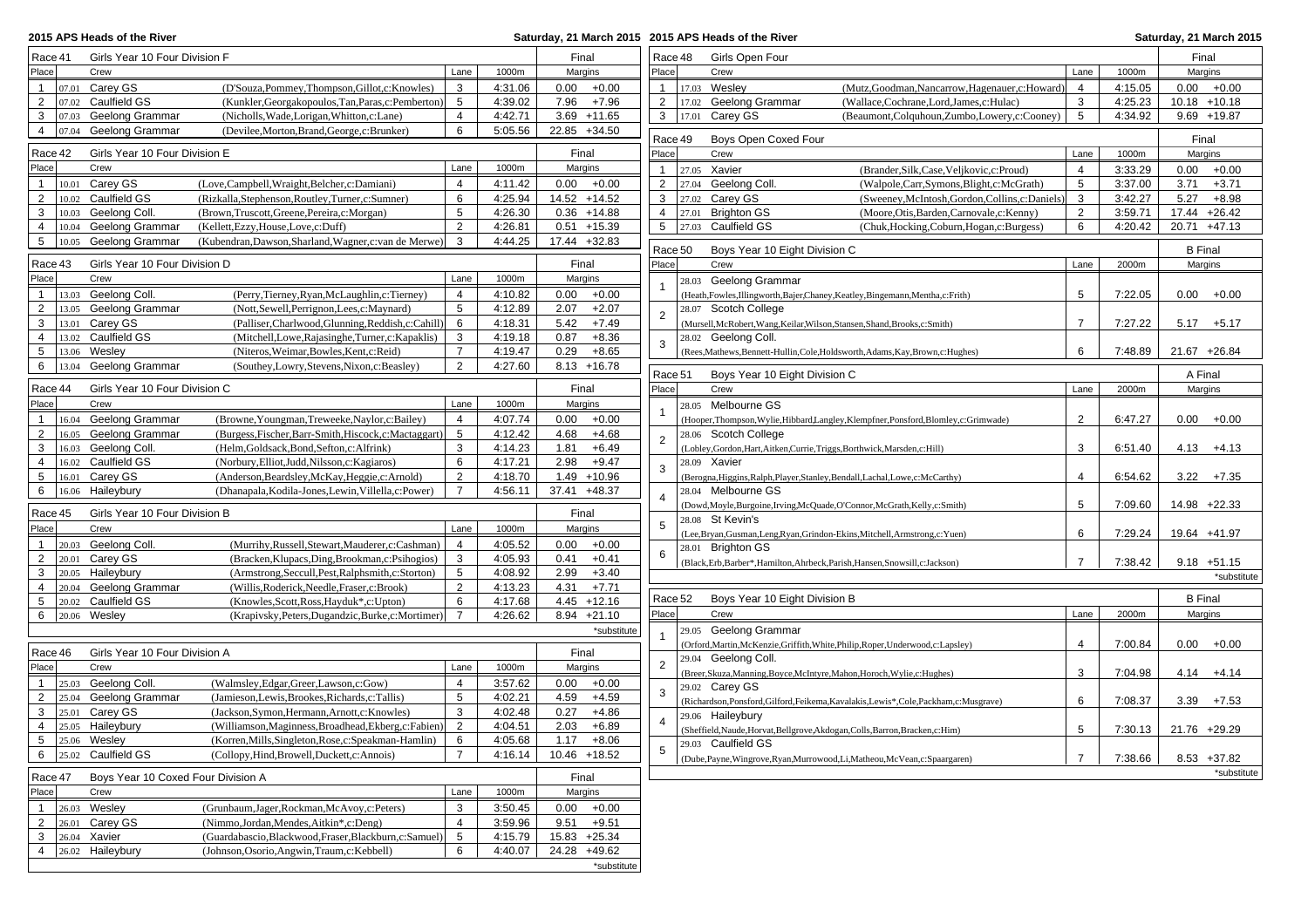| 2015 APS Heads of the River<br>Saturday, 21 March 2015 2015 APS Heads of the River                                        |                     |                    |                                   |                   |              |                                                                             |                                                                                         |                |                    | Saturday, 21 March 2015            |
|---------------------------------------------------------------------------------------------------------------------------|---------------------|--------------------|-----------------------------------|-------------------|--------------|-----------------------------------------------------------------------------|-----------------------------------------------------------------------------------------|----------------|--------------------|------------------------------------|
| Race 41<br>Girls Year 10 Four Division F                                                                                  |                     |                    | Final                             | Race 48           |              | Girls Open Four                                                             |                                                                                         |                |                    | Final                              |
| Place<br>Crew                                                                                                             | Lane                | 1000m              | Margins                           | Place             |              | Crew                                                                        |                                                                                         | Lane           | 1000m              | Margins                            |
| $ 07.01$ Carey GS<br>(D'Souza, Pommey, Thompson, Gillot, c: Knowles)<br>$\mathbf{1}$                                      | 3                   | 4:31.06            | $0.00 + 0.00$                     | $\mathbf{1}$      | 17.03 Wesley |                                                                             | (Mutz, Goodman, Nancarrow, Hagenauer, c: Howard)                                        | $\overline{4}$ | 4:15.05            | $0.00 + 0.00$                      |
| $\overline{2}$<br>07.02 Caulfield GS<br>(Kunkler, Georgakopoulos, Tan, Paras, c: Pemberton)                               | $5\phantom{.0}$     | 4:39.02            | 7.96 +7.96                        | $\overline{2}$    |              | 17.02 Geelong Grammar                                                       | (Wallace,Cochrane,Lord,James,c:Hulac)                                                   | 3              | 4:25.23            | $10.18 + 10.18$                    |
| Geelong Grammar<br>3<br>(Nicholls, Wade, Lorigan, Whitton, c: Lane)<br>07.03                                              | $\overline{4}$      | 4:42.71            | $3.69$ +11.65                     | 3                 | 17.01        | Carey GS                                                                    | (Beaumont,Colquhoun,Zumbo,Lowery,c:Cooney)                                              | 5              | 4:34.92            | $9.69 + 19.87$                     |
| Geelong Grammar<br>(Devilee, Morton, Brand, George, c: Brunker)<br>4<br> 07.04                                            | 6                   | 5:05.56            | 22.85 +34.50                      |                   |              |                                                                             |                                                                                         |                |                    |                                    |
| Race 42<br>Girls Year 10 Four Division E                                                                                  |                     |                    | Final                             | Race 49<br>Place  |              | Boys Open Coxed Four<br>Crew                                                |                                                                                         | Lane           | 1000m              | Final<br>Margins                   |
| Place<br>Crew                                                                                                             | Lane                | 1000m              | Margins                           |                   |              |                                                                             |                                                                                         |                |                    |                                    |
| 10.01 Carey GS<br>(Love,Campbell,Wraight,Belcher,c:Damiani)                                                               | $\overline{4}$      | 4:11.42            | $0.00 + 0.00$                     | $\mathbf{1}$<br>2 | 27.05 Xavier | 27.04 Geelong Coll                                                          | (Brander, Silk, Case, Veljkovic, c: Proud)<br>(Walpole,Carr,Symons,Blight,c:McGrath)    | 4<br>5         | 3:33.29<br>3:37.00 | 0.00<br>$+0.00$<br>3.71<br>$+3.71$ |
| $\overline{2}$<br>10.02 Caulfield GS<br>(Rizkalla, Stephenson, Routley, Turner, c: Sumner)                                | 6                   | 4:25.94            | 14.52 +14.52                      | 3                 |              | 27.02 Carey GS                                                              | (Sweeney, McIntosh, Gordon, Collins, c: Daniels)                                        | 3              | 3:42.27            | 5.27<br>$+8.98$                    |
| 3<br>10.03 Geelong Coll.<br>(Brown, Truscott, Greene, Pereira, c: Morgan)                                                 | 5                   | 4:26.30            | $0.36 + 14.88$                    | $\overline{4}$    |              | 27.01 Brighton GS                                                           | (Moore, Otis, Barden, Carnovale, c: Kenny)                                              | $\overline{2}$ | 3:59.71            | 17.44 +26.42                       |
| 10.04 Geelong Grammar<br>(Kellett, Ezzy, House, Love, c: Duff)<br>4                                                       | $\overline{2}$      | 4:26.81            | $0.51 + 15.39$                    | 5                 |              | 27.03 Caulfield GS                                                          | (Chuk, Hocking, Coburn, Hogan, c: Burgess)                                              | 6              | 4:20.42            | 20.71 +47.13                       |
| 10.05 Geelong Grammar<br>$5\overline{)}$<br>(Kubendran, Dawson, Sharland, Wagner, c: van de Merwe)                        | 3                   | 4:44.25            | 17.44 +32.83                      |                   |              |                                                                             |                                                                                         |                |                    |                                    |
|                                                                                                                           |                     |                    |                                   | Race 50           |              | Boys Year 10 Eight Division C                                               |                                                                                         |                |                    | <b>B</b> Final                     |
| Race 43<br>Girls Year 10 Four Division D                                                                                  |                     |                    | Final                             | Place             |              | Crew                                                                        |                                                                                         | Lane           | 2000m              | Margins                            |
| Place<br>Crew                                                                                                             | Lane                | 1000m              | Margins                           |                   |              | 28.03 Geelong Grammar                                                       |                                                                                         |                |                    |                                    |
| 13.03 Geelong Coll.<br>(Perry, Tierney, Ryan, McLaughlin, c: Tierney)<br>$\mathbf{1}$                                     | 4                   | 4:10.82            | $0.00 + 0.00$                     |                   |              |                                                                             | (Heath, Fowles, Illingworth, Bajer, Chaney, Keatley, Bingemann, Mentha, c: Frith)       | 5              | 7:22.05            | $0.00 + 0.00$                      |
| $\overline{2}$<br>13.05 Geelong Grammar<br>(Nott, Sewell, Perrignon, Lees, c: Maynard)                                    | 5                   | 4:12.89            | $+2.07$<br>2.07                   | $\mathbf 2$       |              | 28.07 Scotch College                                                        |                                                                                         |                |                    |                                    |
| 3<br>13.01 Carey GS<br>(Palliser,Charlwood,Glunning,Reddish,c:Cahill)                                                     | 6                   | 4:18.31            | 5.42<br>$+7.49$                   |                   |              |                                                                             | (Mursell, McRobert, Wang, Keilar, Wilson, Stansen, Shand, Brooks, c: Smith)             | $\overline{7}$ | 7:27.22            | $5.17 + 5.17$                      |
| 13.02 Caulfield GS<br>(Mitchell, Lowe, Rajasinghe, Turner, c: Kapaklis)<br>$\overline{4}$                                 | 3                   | 4:19.18            | 0.87<br>$+8.36$                   | 3                 |              | 28.02 Geelong Coll.                                                         |                                                                                         |                |                    |                                    |
| 5<br>13.06 Weslev<br>(Niteros, Weimar, Bowles, Kent, c: Reid)<br>Geelong Grammar                                          | $\overline{7}$<br>2 | 4:19.47<br>4:27.60 | 0.29<br>$+8.65$<br>$8.13 + 16.78$ |                   |              |                                                                             | (Rees, Mathews, Bennett-Hullin, Cole, Holdsworth, Adams, Kay, Brown, c: Hughes)         | 6              | 7:48.89            | 21.67 +26.84                       |
| 6<br>13.04<br>(Southey, Lowry, Stevens, Nixon, c: Beasley)                                                                |                     |                    |                                   | Race 51           |              | Boys Year 10 Eight Division C                                               |                                                                                         |                |                    | A Final                            |
| Race 44<br>Girls Year 10 Four Division C                                                                                  |                     |                    | Final                             | Place             |              | Crew                                                                        |                                                                                         | Lane           | 2000m              | Margins                            |
| Crew<br>Place                                                                                                             | Lane                | 1000m              | Margins                           |                   |              | 28.05 Melbourne GS                                                          |                                                                                         |                |                    |                                    |
| 16.04 Geelong Grammar<br>(Browne, Youngman, Treweeke, Naylor, c: Bailey)<br>$\mathbf{1}$                                  | $\overline{4}$      | 4:07.74            | 0.00<br>$+0.00$                   | $\overline{1}$    |              |                                                                             | (Hooper, Thompson, Wylie, Hibbard Langley, Klempfner, Ponsford, Blomley, c: Grimwade)   | $\overline{2}$ | 6:47.27            | 0.00<br>$+0.00$                    |
| $\overline{2}$<br>16.05 Geelong Grammar<br>(Burgess, Fischer, Barr-Smith, Hiscock, c: Mactaggart)                         | 5                   | 4:12.42            | 4.68<br>$+4.68$                   | $\overline{2}$    |              | 28.06 Scotch College                                                        |                                                                                         |                |                    |                                    |
| 16.03 Geelong Coll.<br>3<br>(Helm, Goldsack, Bond, Sefton, c: Alfrink)                                                    | 3                   | 4:14.23            | $+6.49$<br>1.81                   |                   |              | (Lobley, Gordon, Hart, Aitken, Currie, Triggs, Borthwick, Marsden, c: Hill) |                                                                                         | 3              | 6:51.40            | $4.13 + 4.13$                      |
| 16.02 Caulfield GS<br>(Norbury, Elliot, Judd, Nilsson, c: Kagiaros)<br>$\overline{4}$                                     | 6                   | 4:17.21            | 2.98<br>$+9.47$                   | 3                 | 28.09 Xavier |                                                                             |                                                                                         |                |                    |                                    |
| 5<br>16.01 Carey GS<br>(Anderson, Beardsley, McKay, Heggie, c: Arnold)                                                    | 2                   | 4:18.70            | $1.49 + 10.96$                    |                   |              |                                                                             | (Berogna, Higgins, Ralph, Player, Stanley, Bendall, Lachal, Lowe, c: McCarthy)          | $\overline{4}$ | 6:54.62            | $3.22 + 7.35$                      |
| 6<br>16.06 Haileybury<br>(Dhanapala, Kodila-Jones, Lewin, Villella, c: Power)                                             | $\overline{7}$      | 4:56.11            | 37.41 +48.37                      | $\overline{4}$    |              | 28.04 Melbourne GS                                                          |                                                                                         |                |                    |                                    |
| Girls Year 10 Four Division B<br>Race 45                                                                                  |                     |                    | Final                             |                   |              |                                                                             | (Dowd, Moyle, Burgoine, Irving, McQuade, O'Connor, McGrath, Kelly, c: Smith)            | 5              | 7:09.60            | 14.98 +22.33                       |
| Place<br>Crew                                                                                                             | Lane                | 1000m              | Margins                           | 5                 |              | 28.08 St Kevin's                                                            |                                                                                         |                |                    |                                    |
| 20.03 Geelong Coll.<br>(Murrihy, Russell, Stewart, Mauderer, c: Cashman)<br>-1                                            | 4                   | 4:05.52            | $0.00 + 0.00$                     |                   |              | 28.01 Brighton GS                                                           | (Lee,Bryan,Gusman,Leng,Ryan,Grindon-Ekins,Mitchell,Armstrong,c:Yuen)                    | 6              | 7:29.24            | 19.64 +41.97                       |
| $\overline{2}$<br>Carey GS<br>(Bracken, Klupacs, Ding, Brookman, c: Psihogios)<br>20.01                                   | 3                   | 4:05.93            | $+0.41$<br>0.41                   | 6                 |              |                                                                             | (Black, Erb, Barber*, Hamilton, Ahrbeck, Parish, Hansen, Snowsill, c: Jackson)          | $\overline{7}$ | 7:38.42            | $9.18 + 51.15$                     |
| 20.05 Haileybury<br>3<br>(Armstrong, Seccull, Pest, Ralphsmith, c: Storton)                                               | $5\phantom{.0}$     | 4:08.92            | $+3.40$<br>2.99                   |                   |              |                                                                             |                                                                                         |                |                    | *substitute                        |
| 20.04 Geelong Grammar<br>(Willis, Roderick, Needle, Fraser, c: Brook)<br>4                                                | 2                   | 4:13.23            | 4.31<br>$+7.71$                   |                   |              |                                                                             |                                                                                         |                |                    |                                    |
| 5<br>20.02 Caulfield GS<br>(Knowles, Scott, Ross, Hayduk*, c: Upton)                                                      | 6                   | 4:17.68            | $4.45 + 12.16$                    | Race 52           |              | Boys Year 10 Eight Division B                                               |                                                                                         |                |                    | <b>B</b> Final                     |
| $20.06$ Wesley<br>6<br>(Krapivsky, Peters, Dugandzic, Burke, c: Mortimer)                                                 | 7                   | 4:26.62            | $8.94 +21.10$                     | Place             |              | Crew                                                                        |                                                                                         | Lane           | 2000m              | Margins                            |
|                                                                                                                           |                     |                    | *substitute                       |                   |              | 29.05 Geelong Grammar                                                       |                                                                                         |                |                    |                                    |
| Race 46<br>Girls Year 10 Four Division A                                                                                  |                     |                    | Final                             |                   |              |                                                                             | (Orford, Martin, McKenzie, Griffith, White, Philip, Roper, Underwood, c: Lapsley)       | $\overline{4}$ | 7:00.84            | 0.00<br>$+0.00$                    |
| Place<br>Crew                                                                                                             | Lane                | 1000m              | Margins                           | $\overline{2}$    |              | 29.04 Geelong Coll.                                                         |                                                                                         |                |                    |                                    |
| 25.03 Geelong Coll.<br>(Walmsley, Edgar, Greer, Lawson, c: Gow)<br>$\mathbf{1}$                                           | $\overline{4}$      | 3:57.62            | $0.00 + 0.00$                     |                   |              |                                                                             | (Breer, Skuza, Manning, Boyce, McIntyre, Mahon, Horoch, Wylie, c: Hughes)               | 3              | 7:04.98            | $4.14 + 4.14$                      |
| 25.04 Geelong Grammar<br>$\overline{2}$<br>(Jamieson, Lewis, Brookes, Richards, c: Tallis)                                | 5                   | 4:02.21            | $4.59 + 4.59$                     | 3                 |              | 29.02 Carey GS                                                              |                                                                                         |                |                    |                                    |
| 3<br>25.01 Carey GS<br>(Jackson, Symon, Hermann, Arnott, c: Knowles)                                                      | 3                   | 4:02.48            | $0.27 +4.86$                      |                   |              |                                                                             | (Richardson, Ponsford, Gilford, Feikema, Kavalakis, Lewis*, Cole, Packham, c: Musgrave) | 6              | 7:08.37            | $3.39 + 7.53$                      |
| $\overline{4}$<br>25.05 Haileybury<br>(Williamson, Maginness, Broadhead, Ekberg, c: Fabien)                               | $\overline{2}$      | 4:04.51            | 2.03<br>$+6.89$                   | $\overline{4}$    |              | 29.06 Haileybury                                                            | (Sheffield, Naude, Horvat, Bellgrove, Akdogan, Colls, Barron, Bracken, c: Him)          | 5              | 7:30.13            | 21.76 +29.29                       |
| $5\phantom{.0}$<br>$25.06$ Wesley<br>(Korren, Mills, Singleton, Rose, c: Speakman-Hamlin)                                 | 6                   | 4:05.68            | $1.17 + 8.06$                     |                   |              | 29.03 Caulfield GS                                                          |                                                                                         |                |                    |                                    |
| 6<br>$ 25.02$ Caulfield GS<br>(Collopy, Hind, Browell, Duckett, c: Annois)                                                | $\overline{7}$      | 4:16.14            | 10.46 +18.52                      | $5\phantom{.0}$   |              |                                                                             | (Dube, Payne, Wingrove, Ryan, Murrowood, Li, Matheou, McVean, c: Spaargaren)            | 7              | 7:38.66            | $8.53 + 37.82$                     |
| Boys Year 10 Coxed Four Division A<br>Race 47                                                                             |                     |                    | Final                             |                   |              |                                                                             |                                                                                         |                |                    | *substitute                        |
| Place<br>Crew                                                                                                             | Lane                | 1000m              |                                   |                   |              |                                                                             |                                                                                         |                |                    |                                    |
| $\mathbf{1}$                                                                                                              |                     |                    | Margins                           |                   |              |                                                                             |                                                                                         |                |                    |                                    |
| 26.03 Wesley<br>(Grunbaum, Jager, Rockman, McAvoy, c: Peters)<br>$\overline{2}$<br>26.01 Carey GS                         | 3<br>4              | 3:50.45            | $0.00 + 0.00$                     |                   |              |                                                                             |                                                                                         |                |                    |                                    |
| (Nimmo, Jordan, Mendes, Aitkin*, c: Deng)<br>3<br>26.04 Xavier<br>(Guardabascio, Blackwood, Fraser, Blackburn, c: Samuel) | 5                   | 3:59.96<br>4:15.79 | $9.51 + 9.51$<br>15.83 +25.34     |                   |              |                                                                             |                                                                                         |                |                    |                                    |
| 26.02 Haileybury<br>$\frac{4}{1}$<br>(Johnson, Osorio, Angwin, Traum, c: Kebbell)                                         | 6                   | 4:40.07            | 24.28 +49.62                      |                   |              |                                                                             |                                                                                         |                |                    |                                    |
|                                                                                                                           |                     |                    | *substitute                       |                   |              |                                                                             |                                                                                         |                |                    |                                    |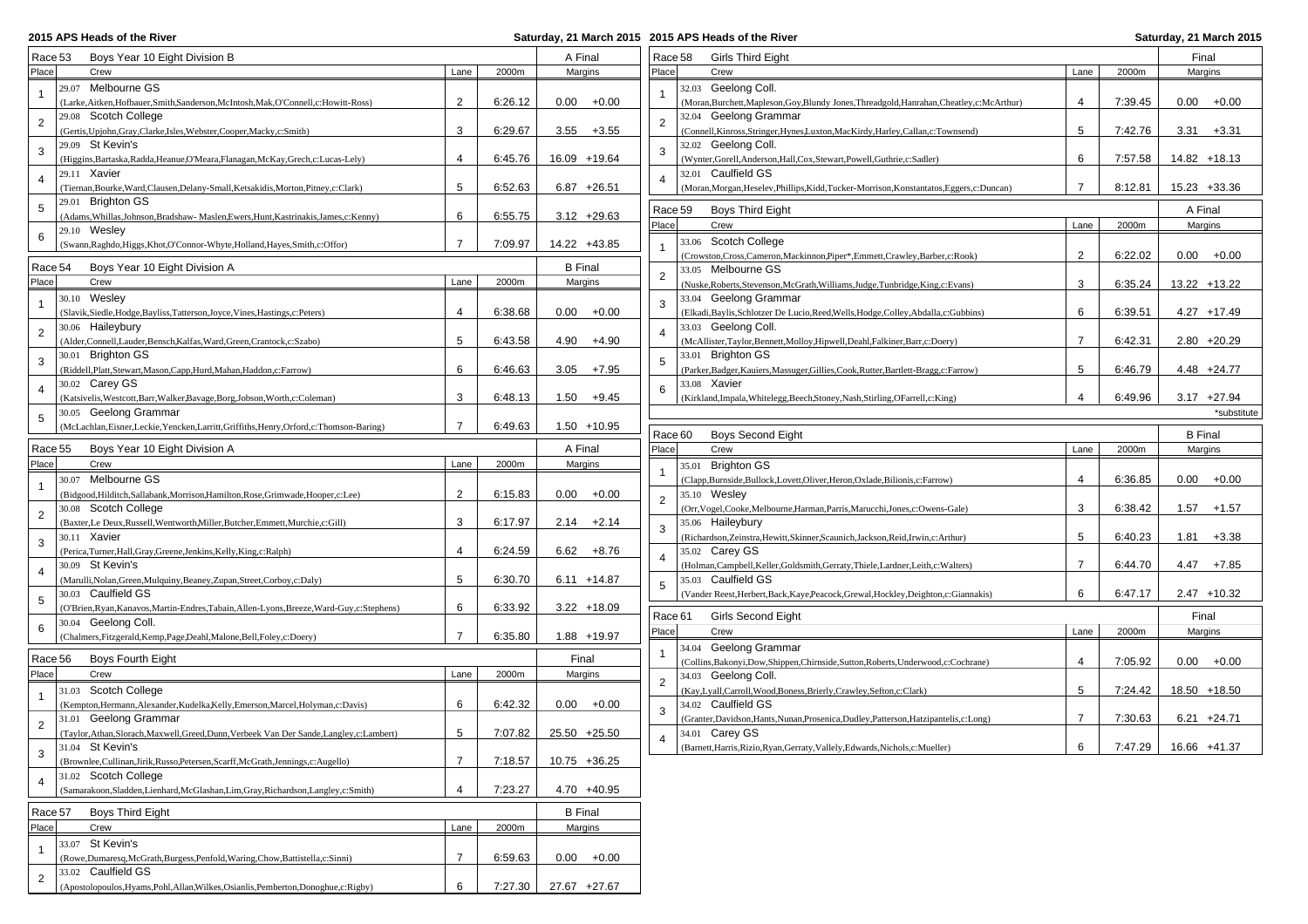## **2015 APS Heads of the River**

| Race 53        | Boys Year 10 Eight Division B                                                               |                |         | A Final        | Race 58        | <b>Girls Third Eight</b>                                                                    |                |         | Final          |
|----------------|---------------------------------------------------------------------------------------------|----------------|---------|----------------|----------------|---------------------------------------------------------------------------------------------|----------------|---------|----------------|
| Place          | Crew                                                                                        | Lane           | 2000m   | Margins        | Place          | Crew                                                                                        | Lane           | 2000m   | Margins        |
|                | 29.07 Melbourne GS                                                                          |                |         |                |                | 32.03 Geelong Coll.                                                                         |                |         |                |
|                | (Larke, Aitken, Hofbauer, Smith, Sanderson, McIntosh, Mak, O'Connell, c: Howitt-Ross)       | $\overline{2}$ | 6:26.12 | $0.00 + 0.00$  | $\overline{1}$ | (Moran, Burchett, Mapleson, Goy, Blundy Jones, Threadgold, Hanrahan, Cheatley, c: McArthur) | $\overline{4}$ | 7:39.45 | $0.00 + 0.00$  |
|                | 29.08 Scotch College                                                                        |                |         |                |                | 32.04 Geelong Grammar                                                                       |                |         |                |
| $\overline{2}$ | (Gertis, Upjohn, Gray, Clarke, Isles, Webster, Cooper, Macky, c: Smith)                     | 3              | 6:29.67 | $3.55 + 3.55$  | 2              | (Connell, Kinross, Stringer, Hynes, Luxton, MacKirdy, Harley, Callan, c: Townsend)          | 5              | 7:42.76 | $3.31 + 3.31$  |
|                | 29.09 St Kevin's                                                                            |                |         |                |                | 32.02 Geelong Coll.                                                                         |                |         |                |
| 3              | (Higgins, Bartaska, Radda, Heanue, O'Meara, Flanagan, McKay, Grech, c: Lucas-Lely)          | $\overline{4}$ | 6:45.76 | 16.09 +19.64   | 3              | (Wynter, Gorell, Anderson, Hall, Cox, Stewart, Powell, Guthrie, c: Sadler)                  | 6              | 7:57.58 | 14.82 +18.13   |
|                | 29.11 Xavier                                                                                |                |         |                |                | 32.01 Caulfield GS                                                                          |                |         |                |
|                |                                                                                             |                |         |                | $\overline{4}$ |                                                                                             | $\overline{7}$ |         |                |
|                | (Tiernan, Bourke, Ward, Clausen, Delany-Small, Ketsakidis, Morton, Pitney, c: Clark)        | 5              | 6:52.63 | $6.87 +26.51$  |                | (Moran, Morgan, Heselev, Phillips, Kidd, Tucker-Morrison, Konstantatos, Eggers, c: Duncan)  |                | 8:12.81 | 15.23 +33.36   |
| 5              | 29.01 Brighton GS                                                                           |                |         |                | Race 59        | Boys Third Eight                                                                            |                |         | A Final        |
|                | (Adams, Whillas, Johnson, Bradshaw-Maslen, Ewers, Hunt, Kastrinakis, James, c: Kenny)       | 6              | 6:55.75 | $3.12 + 29.63$ | Place          | Crew                                                                                        | Lane           | 2000m   | Margins        |
| 6              | 29.10 Wesley                                                                                |                |         |                |                |                                                                                             |                |         |                |
|                | (Swann, Raghdo, Higgs, Khot, O'Connor-Whyte, Holland, Hayes, Smith, c: Offor)               | $\overline{7}$ | 7:09.97 | 14.22 +43.85   |                | 33.06 Scotch College                                                                        |                |         |                |
| Race 54        | Boys Year 10 Eight Division A                                                               |                |         | <b>B</b> Final |                | (Crowston, Cross, Cameron, Mackinnon, Piper*, Emmett, Crawley, Barber, c: Rook)             | $\overline{2}$ | 6:22.02 | $0.00 + 0.00$  |
|                |                                                                                             |                |         |                | 2              | 33.05 Melbourne GS                                                                          |                |         |                |
| Place          | Crew                                                                                        | Lane           | 2000m   | Margins        |                | (Nuske, Roberts, Stevenson, McGrath, Williams, Judge, Tunbridge, King, c: Evans)            | 3              | 6:35.24 | 13.22 +13.22   |
|                | 30.10 Wesley                                                                                |                |         |                | 3              | 33.04 Geelong Grammar                                                                       |                |         |                |
|                | (Slavik, Siedle, Hodge, Bayliss, Tatterson, Joyce, Vines, Hastings, c: Peters)              | 4              | 6:38.68 | $0.00 + 0.00$  |                | (Elkadi, Baylis, Schlotzer De Lucio, Reed, Wells, Hodge, Colley, Abdalla, c: Gubbins)       | 6              | 6:39.51 | $4.27 + 17.49$ |
| $\overline{2}$ | 30.06 Haileybury                                                                            |                |         |                |                | 33.03 Geelong Coll.                                                                         |                |         |                |
|                | (Alder,Connell,Lauder,Bensch,Kalfas,Ward,Green,Crantock,c:Szabo)                            | 5              | 6:43.58 | $4.90 + 4.90$  |                | (McAllister, Taylor, Bennett, Molloy, Hipwell, Deahl, Falkiner, Barr, c: Doery)             | $\overline{7}$ | 6:42.31 | $2.80 + 20.29$ |
| 3              | 30.01 Brighton GS                                                                           |                |         |                | 5              | 33.01 Brighton GS                                                                           |                |         |                |
|                | (Riddell, Platt, Stewart, Mason, Capp, Hurd, Mahan, Haddon, c: Farrow)                      | 6              | 6:46.63 | $3.05 +7.95$   |                | (Parker, Badger, Kauiers, Massuger, Gillies, Cook, Rutter, Bartlett-Bragg, c: Farrow)       | 5              | 6:46.79 | $4.48 + 24.77$ |
|                | 30.02 Carey GS                                                                              |                |         |                |                | 33.08 Xavier                                                                                |                |         |                |
| 4              | (Katsivelis, Westcott, Barr, Walker, Bavage, Borg, Jobson, Worth, c: Coleman)               | 3              | 6:48.13 | $1.50 + 9.45$  | 6              | (Kirkland, Impala, Whitelegg, Beech, Stoney, Nash, Stirling, OFarrell, c: King)             | $\overline{4}$ | 6:49.96 | $3.17 +27.94$  |
|                | 30.05 Geelong Grammar                                                                       |                |         |                |                |                                                                                             |                |         | *substitute    |
| 5              | (McLachlan, Eisner, Leckie, Yencken, Larritt, Griffiths, Henry, Orford, c: Thomson-Baring)  | $\overline{7}$ | 6:49.63 | $1.50 + 10.95$ |                |                                                                                             |                |         |                |
|                |                                                                                             |                |         |                | Race 60        | <b>Boys Second Eight</b>                                                                    |                |         | <b>B</b> Final |
| Race 55        | Boys Year 10 Eight Division A                                                               |                |         | A Final        | Place          | Crew                                                                                        | Lane           | 2000m   | Margins        |
| Place          | Crew                                                                                        | Lane           | 2000m   | Margins        |                | 35.01 Brighton GS                                                                           |                |         |                |
|                | 30.07 Melbourne GS                                                                          |                |         |                |                | (Clapp,Burnside,Bullock,Lovett,Oliver,Heron,Oxlade,Bilionis,c:Farrow)                       | $\overline{4}$ | 6:36.85 | $0.00 + 0.00$  |
|                | (Bidgood,Hilditch,Sallabank,Morrison,Hamilton,Rose,Grimwade,Hooper,c:Lee)                   | $\overline{2}$ | 6:15.83 | $0.00 + 0.00$  |                | 35.10 Wesley                                                                                |                |         |                |
|                | 30.08 Scotch College                                                                        |                |         |                | $\overline{2}$ | (Orr, Vogel, Cooke, Melbourne, Harman, Parris, Marucchi, Jones, c: Owens-Gale)              | 3              | 6:38.42 | $1.57 + 1.57$  |
| 2              | (Baxter,Le Deux,Russell,Wentworth,Miller,Butcher,Emmett,Murchie,c:Gill)                     | 3              | 6:17.97 | $2.14 +2.14$   |                | 35.06 Haileybury                                                                            |                |         |                |
|                |                                                                                             |                |         |                | 3              |                                                                                             | 5              |         |                |
| 3              | 30.11 Xavier                                                                                |                |         |                |                | (Richardson, Zeinstra, Hewitt, Skinner, Scaunich, Jackson, Reid, Irwin, c: Arthur)          |                | 6:40.23 | $1.81 + 3.38$  |
|                | (Perica, Turner, Hall, Gray, Greene, Jenkins, Kelly, King, c: Ralph)                        | $\overline{4}$ | 6:24.59 | $6.62 + 8.76$  | $\overline{4}$ | 35.02 Carey GS                                                                              | $\overline{7}$ |         |                |
|                | 30.09 St Kevin's                                                                            |                |         |                |                | (Holman, Campbell, Keller, Goldsmith, Gerraty, Thiele, Lardner, Leith, c: Walters)          |                | 6:44.70 | $4.47 +7.85$   |
|                | (Marulli, Nolan, Green, Mulquiny, Beaney, Zupan, Street, Corboy, c: Daly)                   | 5              | 6:30.70 | $6.11 + 14.87$ | 5              | 35.03 Caulfield GS                                                                          |                |         |                |
| 5              | 30.03 Caulfield GS                                                                          |                |         |                |                | (Vander Reest, Herbert, Back, Kaye, Peacock, Grewal, Hockley, Deighton, c: Giannakis)       | 6              | 6:47.17 | $2.47 + 10.32$ |
|                | (O'Brien, Ryan, Kanavos, Martin-Endres, Tabain, Allen-Lyons, Breeze, Ward-Guy, c: Stephens) | 6              | 6:33.92 | $3.22 + 18.09$ | Race 61        | Girls Second Eight                                                                          |                |         | Final          |
| 6              | 30.04 Geelong Coll.                                                                         |                |         |                |                |                                                                                             |                |         |                |
|                | (Chalmers, Fitzgerald, Kemp, Page, Deahl, Malone, Bell, Foley, c: Doery)                    | $\overline{7}$ | 6:35.80 | 1.88 +19.97    | Place          | Crew                                                                                        | Lane           | 2000m   | Margins        |
|                |                                                                                             |                |         |                | $\overline{1}$ | 34.04 Geelong Grammar                                                                       |                |         |                |
| Race 56        | Boys Fourth Eight                                                                           |                |         | Final          |                | (Collins, Bakonyi, Dow, Shippen, Chirnside, Sutton, Roberts, Underwood, c: Cochrane)        | $\overline{4}$ | 7:05.92 | $0.00 + 0.00$  |
| Place          | Crew                                                                                        | Lane           | 2000m   | Margins        | $\overline{2}$ | 34.03 Geelong Coll.                                                                         |                |         |                |
|                | 31.03 Scotch College                                                                        |                |         |                |                | (Kay, Lyall, Carroll, Wood, Boness, Brierly, Crawley, Sefton, c: Clark)                     | 5              | 7:24.42 | 18.50 +18.50   |
|                | (Kempton, Hermann, Alexander, Kudelka, Kelly, Emerson, Marcel, Holyman, c: Davis)           | 6              | 6:42.32 | $0.00 + 0.00$  | 3              | 34.02 Caulfield GS                                                                          |                |         |                |
|                | 31.01 Geelong Grammar                                                                       |                |         |                |                | (Granter, Davidson, Hants, Nunan, Prosenica, Dudley, Patterson, Hatzipantelis, c: Long)     | $\overline{7}$ | 7:30.63 | $6.21 + 24.71$ |
|                | (Taylor, Athan, Slorach, Maxwell, Greed, Dunn, Verbeek Van Der Sande, Langley, c: Lambert)  | 5              | 7:07.82 | 25.50 +25.50   |                | 34.01 Carev GS                                                                              |                |         |                |
|                | 31.04 St Kevin's                                                                            |                |         |                |                | (Barnett, Harris, Rizio, Ryan, Gerraty, Vallely, Edwards, Nichols, c: Mueller)              | 6              | 7:47.29 | 16.66 +41.37   |
| 3              | (Brownlee, Cullinan, Jirik, Russo, Petersen, Scarff, McGrath, Jennings, c: Augello)         | $\overline{7}$ | 7:18.57 | 10.75 +36.25   |                |                                                                                             |                |         |                |
|                | 31.02 Scotch College                                                                        |                |         |                |                |                                                                                             |                |         |                |
| 4              | (Samarakoon, Sladden, Lienhard, McGlashan, Lim, Gray, Richardson, Langley, c: Smith)        | $\overline{4}$ | 7:23.27 | 4.70 +40.95    |                |                                                                                             |                |         |                |
|                |                                                                                             |                |         |                |                |                                                                                             |                |         |                |
| Race 57        | Boys Third Eight                                                                            |                |         | <b>B</b> Final |                |                                                                                             |                |         |                |
| Place          | Crew                                                                                        | Lane           | 2000m   | Margins        |                |                                                                                             |                |         |                |
|                | 33.07 St Kevin's                                                                            |                |         |                |                |                                                                                             |                |         |                |
|                | (Rowe,Dumaresq,McGrath,Burgess,Penfold,Waring,Chow,Battistella,c:Sinni)                     | 7              | 6:59.63 | $0.00 + 0.00$  |                |                                                                                             |                |         |                |
|                |                                                                                             |                |         |                |                |                                                                                             |                |         |                |
| $\overline{2}$ | 33.02 Caulfield GS                                                                          |                |         |                |                |                                                                                             |                |         |                |
|                | (Apostolopoulos, Hyams, Pohl, Allan, Wilkes, Osianlis, Pemberton, Donoghue, c: Rigby)       | 6              | 7:27.30 | 27.67 +27.67   |                |                                                                                             |                |         |                |